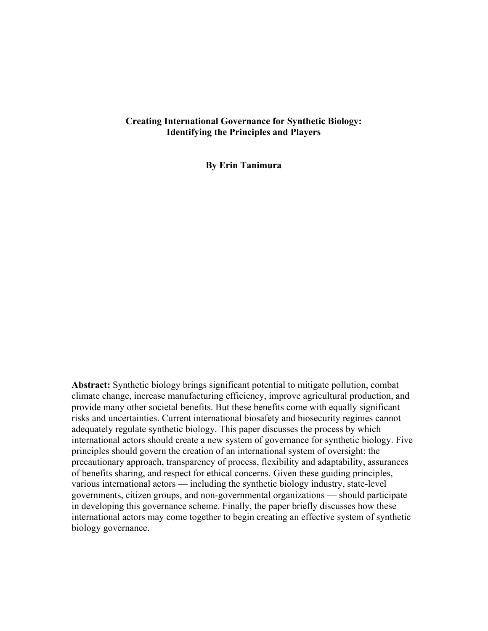## **Creating International Governance for Synthetic Biology: Identifying the Principles and Players**

**By Erin Tanimura**

**Abstract:** Synthetic biology brings significant potential to mitigate pollution, combat climate change, increase manufacturing efficiency, improve agricultural production, and provide many other societal benefits. But these benefits come with equally significant risks and uncertainties. Current international biosafety and biosecurity regimes cannot adequately regulate synthetic biology. This paper discusses the process by which international actors should create a new system of governance for synthetic biology. Five principles should govern the creation of an international system of oversight: the precautionary approach, transparency of process, flexibility and adaptability, assurances of benefits sharing, and respect for ethical concerns. Given these guiding principles, various international actors — including the synthetic biology industry, state-level governments, citizen groups, and non-governmental organizations — should participate in developing this governance scheme. Finally, the paper briefly discusses how these international actors may come together to begin creating an effective system of synthetic biology governance.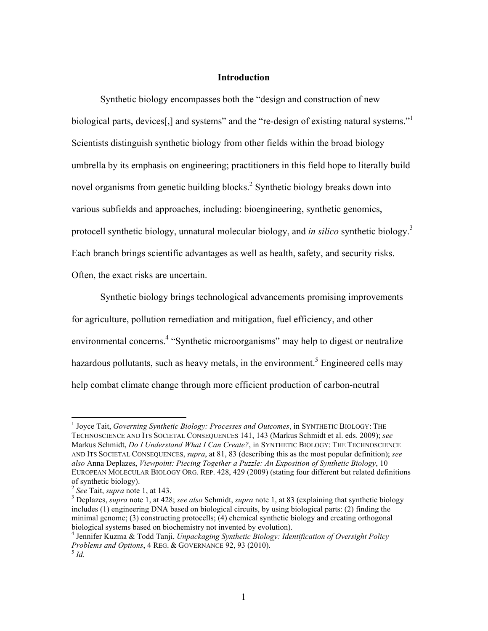#### **Introduction**

Synthetic biology encompasses both the "design and construction of new biological parts, devices<sup>[1]</sup>, and systems" and the "re-design of existing natural systems."<sup>1</sup> Scientists distinguish synthetic biology from other fields within the broad biology umbrella by its emphasis on engineering; practitioners in this field hope to literally build novel organisms from genetic building blocks.<sup>2</sup> Synthetic biology breaks down into various subfields and approaches, including: bioengineering, synthetic genomics, protocell synthetic biology, unnatural molecular biology, and *in silico* synthetic biology.<sup>3</sup> Each branch brings scientific advantages as well as health, safety, and security risks. Often, the exact risks are uncertain.

Synthetic biology brings technological advancements promising improvements for agriculture, pollution remediation and mitigation, fuel efficiency, and other environmental concerns.<sup>4</sup> "Synthetic microorganisms" may help to digest or neutralize hazardous pollutants, such as heavy metals, in the environment.<sup>5</sup> Engineered cells may help combat climate change through more efficient production of carbon-neutral

<sup>&</sup>lt;sup>1</sup> Joyce Tait, *Governing Synthetic Biology: Processes and Outcomes*, in SYNTHETIC BIOLOGY: THE TECHNOSCIENCE AND ITS SOCIETAL CONSEQUENCES 141, 143 (Markus Schmidt et al. eds. 2009); *see*  Markus Schmidt, *Do I Understand What I Can Create?*, in SYNTHETIC BIOLOGY: THE TECHNOSCIENCE AND ITS SOCIETAL CONSEQUENCES, *supra*, at 81, 83 (describing this as the most popular definition); *see also* Anna Deplazes, *Viewpoint: Piecing Together a Puzzle: An Exposition of Synthetic Biology*, 10 EUROPEAN MOLECULAR BIOLOGY ORG. REP. 428, 429 (2009) (stating four different but related definitions of synthetic biology).<br> $\frac{2}{3}$  See Tait, supra note 1, at 143.

<sup>&</sup>lt;sup>3</sup> Deplazes, *supra* note 1, at 428; *see also* Schmidt, *supra* note 1, at 83 (explaining that synthetic biology includes (1) engineering DNA based on biological circuits, by using biological parts: (2) finding the minimal genome; (3) constructing protocells; (4) chemical synthetic biology and creating orthogonal biological systems based on biochemistry not invented by evolution).

<sup>4</sup> Jennifer Kuzma & Todd Tanji, *Unpackaging Synthetic Biology: Identification of Oversight Policy Problems and Options*, 4 REG. & GOVERNANCE 92, 93 (2010). <sup>5</sup> *Id.*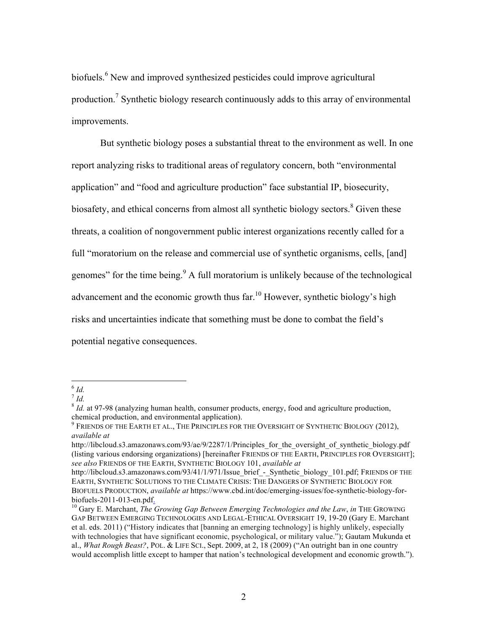biofuels.<sup>6</sup> New and improved synthesized pesticides could improve agricultural production.7 Synthetic biology research continuously adds to this array of environmental improvements.

But synthetic biology poses a substantial threat to the environment as well. In one report analyzing risks to traditional areas of regulatory concern, both "environmental application" and "food and agriculture production" face substantial IP, biosecurity, biosafety, and ethical concerns from almost all synthetic biology sectors.<sup>8</sup> Given these threats, a coalition of nongovernment public interest organizations recently called for a full "moratorium on the release and commercial use of synthetic organisms, cells, [and] genomes" for the time being.<sup>9</sup> A full moratorium is unlikely because of the technological advancement and the economic growth thus  $far<sup>10</sup>$  However, synthetic biology's high risks and uncertainties indicate that something must be done to combat the field's potential negative consequences.

 <sup>6</sup> *Id.*

<sup>7</sup> *Id.*

<sup>&</sup>lt;sup>8</sup> *Id.* at 97-98 (analyzing human health, consumer products, energy, food and agriculture production, chemical production, and environmental application).

 $9$  Friends of the Earth et al., The Principles for the Oversight of Synthetic Biology (2012), *available at*

http://libcloud.s3.amazonaws.com/93/ae/9/2287/1/Principles for the oversight of synthetic biology.pdf (listing various endorsing organizations) [hereinafter FRIENDS OF THE EARTH, PRINCIPLES FOR OVERSIGHT]; *see also* FRIENDS OF THE EARTH, SYNTHETIC BIOLOGY 101, *available at*

http://libcloud.s3.amazonaws.com/93/41/1/971/Issue\_brief\_-\_Synthetic\_biology\_101.pdf; FRIENDS OF THE EARTH, SYNTHETIC SOLUTIONS TO THE CLIMATE CRISIS: THE DANGERS OF SYNTHETIC BIOLOGY FOR BIOFUELS PRODUCTION, *available at* https://www.cbd.int/doc/emerging-issues/foe-synthetic-biology-forbiofuels-2011-013-en.pdf.<br><sup>10</sup> Gary E. Marchant, *The Growing Gap Between Emerging Technologies and the Law*, *in* THE GROWING

GAP BETWEEN EMERGING TECHNOLOGIES AND LEGAL-ETHICAL OVERSIGHT 19, 19-20 (Gary E. Marchant et al. eds. 2011) ("History indicates that [banning an emerging technology] is highly unlikely, especially with technologies that have significant economic, psychological, or military value."); Gautam Mukunda et al., *What Rough Beast?*, POL. & LIFE SCI., Sept. 2009, at 2, 18 (2009) ("An outright ban in one country would accomplish little except to hamper that nation's technological development and economic growth.").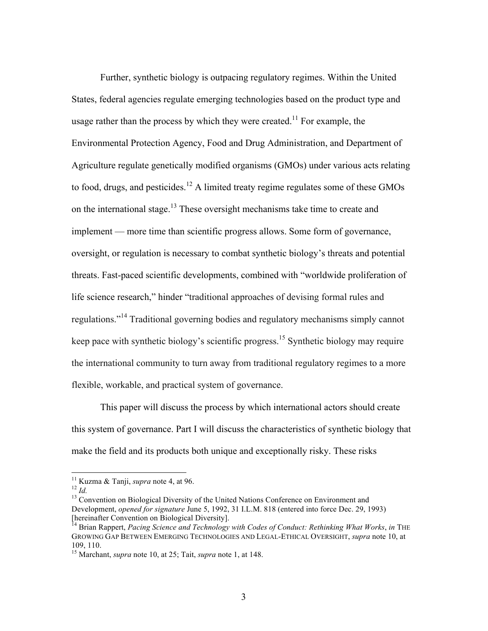Further, synthetic biology is outpacing regulatory regimes. Within the United States, federal agencies regulate emerging technologies based on the product type and usage rather than the process by which they were created.<sup>11</sup> For example, the Environmental Protection Agency, Food and Drug Administration, and Department of Agriculture regulate genetically modified organisms (GMOs) under various acts relating to food, drugs, and pesticides.<sup>12</sup> A limited treaty regime regulates some of these GMOs on the international stage.<sup>13</sup> These oversight mechanisms take time to create and implement — more time than scientific progress allows. Some form of governance, oversight, or regulation is necessary to combat synthetic biology's threats and potential threats. Fast-paced scientific developments, combined with "worldwide proliferation of life science research," hinder "traditional approaches of devising formal rules and regulations."<sup>14</sup> Traditional governing bodies and regulatory mechanisms simply cannot keep pace with synthetic biology's scientific progress.<sup>15</sup> Synthetic biology may require the international community to turn away from traditional regulatory regimes to a more flexible, workable, and practical system of governance.

This paper will discuss the process by which international actors should create this system of governance. Part I will discuss the characteristics of synthetic biology that make the field and its products both unique and exceptionally risky. These risks

<sup>&</sup>lt;sup>11</sup> Kuzma & Tanji, *supra* note 4, at 96.<br><sup>12</sup> *Id.* 13 Convention on Biological Diversity of the United Nations Conference on Environment and Development, *opened for signature* June 5, 1992, 31 I.L.M. 818 (entered into force Dec. 29, 1993) [hereinafter Convention on Biological Diversity].<br><sup>[4</sup> Brian Pannort, *D*.

<sup>14</sup> Brian Rappert, *Pacing Science and Technology with Codes of Conduct: Rethinking What Works*, *in* THE GROWING GAP BETWEEN EMERGING TECHNOLOGIES AND LEGAL-ETHICAL OVERSIGHT, *supra* note 10, at 109, 110.

<sup>15</sup> Marchant, *supra* note 10, at 25; Tait, *supra* note 1, at 148.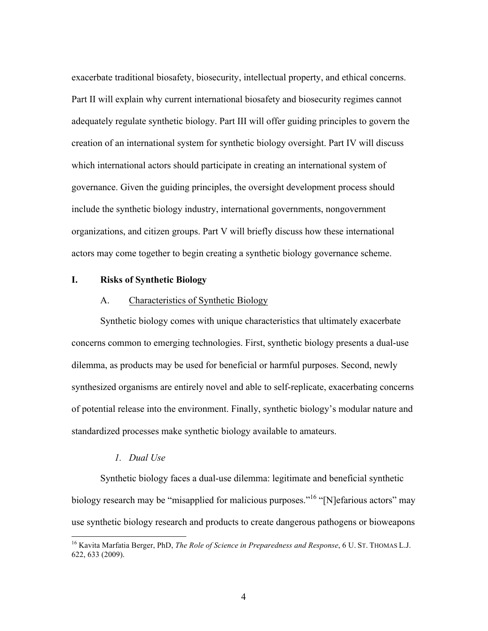exacerbate traditional biosafety, biosecurity, intellectual property, and ethical concerns. Part II will explain why current international biosafety and biosecurity regimes cannot adequately regulate synthetic biology. Part III will offer guiding principles to govern the creation of an international system for synthetic biology oversight. Part IV will discuss which international actors should participate in creating an international system of governance. Given the guiding principles, the oversight development process should include the synthetic biology industry, international governments, nongovernment organizations, and citizen groups. Part V will briefly discuss how these international actors may come together to begin creating a synthetic biology governance scheme.

#### **I. Risks of Synthetic Biology**

#### A. Characteristics of Synthetic Biology

Synthetic biology comes with unique characteristics that ultimately exacerbate concerns common to emerging technologies. First, synthetic biology presents a dual-use dilemma, as products may be used for beneficial or harmful purposes. Second, newly synthesized organisms are entirely novel and able to self-replicate, exacerbating concerns of potential release into the environment. Finally, synthetic biology's modular nature and standardized processes make synthetic biology available to amateurs.

## *1. Dual Use*

Synthetic biology faces a dual-use dilemma: legitimate and beneficial synthetic biology research may be "misapplied for malicious purposes."<sup>16</sup> "[N]efarious actors" may use synthetic biology research and products to create dangerous pathogens or bioweapons

 <sup>16</sup> Kavita Marfatia Berger, PhD, *The Role of Science in Preparedness and Response*, 6 U. ST. THOMAS L.J. 622, 633 (2009).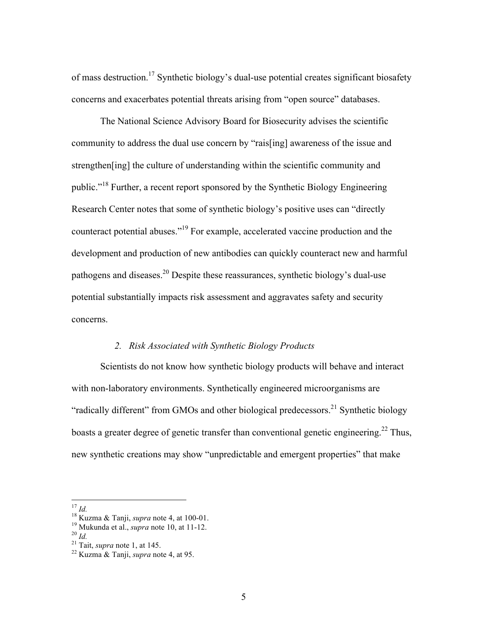of mass destruction.<sup>17</sup> Synthetic biology's dual-use potential creates significant biosafety concerns and exacerbates potential threats arising from "open source" databases.

The National Science Advisory Board for Biosecurity advises the scientific community to address the dual use concern by "rais[ing] awareness of the issue and strengthen[ing] the culture of understanding within the scientific community and public."<sup>18</sup> Further, a recent report sponsored by the Synthetic Biology Engineering Research Center notes that some of synthetic biology's positive uses can "directly counteract potential abuses."19 For example, accelerated vaccine production and the development and production of new antibodies can quickly counteract new and harmful pathogens and diseases.<sup>20</sup> Despite these reassurances, synthetic biology's dual-use potential substantially impacts risk assessment and aggravates safety and security concerns.

#### *2. Risk Associated with Synthetic Biology Products*

Scientists do not know how synthetic biology products will behave and interact with non-laboratory environments. Synthetically engineered microorganisms are "radically different" from GMOs and other biological predecessors.<sup>21</sup> Synthetic biology boasts a greater degree of genetic transfer than conventional genetic engineering.<sup>22</sup> Thus, new synthetic creations may show "unpredictable and emergent properties" that make

 <sup>17</sup> *Id.* <sup>18</sup> Kuzma & Tanji, *supra* note 4, at 100-01. 19 Mukunda et al., *supra* note 10, at 11-12. <sup>20</sup> *Id.* <sup>21</sup> Tait, *supra* note 1, at 145. <sup>22</sup> Kuzma & Tanji, *supra* note 4, at 95.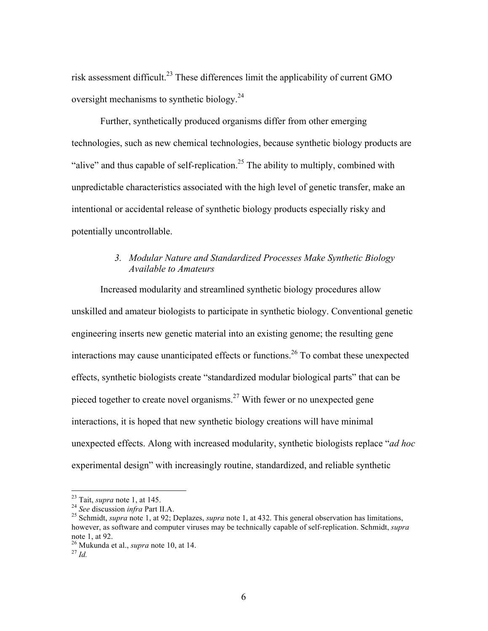risk assessment difficult.<sup>23</sup> These differences limit the applicability of current GMO oversight mechanisms to synthetic biology.<sup>24</sup>

Further, synthetically produced organisms differ from other emerging technologies, such as new chemical technologies, because synthetic biology products are "alive" and thus capable of self-replication.<sup>25</sup> The ability to multiply, combined with unpredictable characteristics associated with the high level of genetic transfer, make an intentional or accidental release of synthetic biology products especially risky and potentially uncontrollable.

## *3. Modular Nature and Standardized Processes Make Synthetic Biology Available to Amateurs*

Increased modularity and streamlined synthetic biology procedures allow unskilled and amateur biologists to participate in synthetic biology. Conventional genetic engineering inserts new genetic material into an existing genome; the resulting gene interactions may cause unanticipated effects or functions.<sup>26</sup> To combat these unexpected effects, synthetic biologists create "standardized modular biological parts" that can be pieced together to create novel organisms.<sup>27</sup> With fewer or no unexpected gene interactions, it is hoped that new synthetic biology creations will have minimal unexpected effects. Along with increased modularity, synthetic biologists replace "*ad hoc* experimental design" with increasingly routine, standardized, and reliable synthetic

<sup>&</sup>lt;sup>23</sup> Tait, *supra* note 1, at 145.<br><sup>24</sup> *See* discussion *infra* Part II.A.<br><sup>25</sup> Schmidt, *supra* note 1, at 92; Deplazes, *supra* note 1, at 432. This general observation has limitations, however, as software and computer viruses may be technically capable of self-replication. Schmidt, *supra* note 1, at 92. 26 Mukunda et al., *supra* note 10, at 14. <sup>27</sup> *Id.*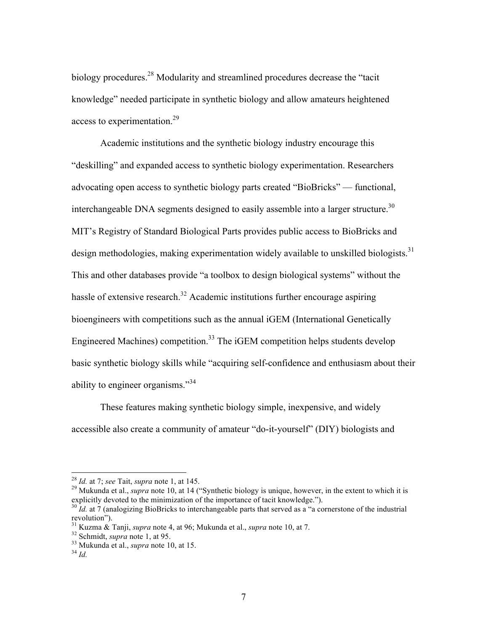biology procedures.<sup>28</sup> Modularity and streamlined procedures decrease the "tacit" knowledge" needed participate in synthetic biology and allow amateurs heightened access to experimentation.<sup>29</sup>

Academic institutions and the synthetic biology industry encourage this "deskilling" and expanded access to synthetic biology experimentation. Researchers advocating open access to synthetic biology parts created "BioBricks" — functional, interchangeable DNA segments designed to easily assemble into a larger structure.<sup>30</sup> MIT's Registry of Standard Biological Parts provides public access to BioBricks and design methodologies, making experimentation widely available to unskilled biologists.<sup>31</sup> This and other databases provide "a toolbox to design biological systems" without the hassle of extensive research.<sup>32</sup> Academic institutions further encourage aspiring bioengineers with competitions such as the annual iGEM (International Genetically Engineered Machines) competition.<sup>33</sup> The iGEM competition helps students develop basic synthetic biology skills while "acquiring self-confidence and enthusiasm about their ability to engineer organisms."<sup>34</sup>

These features making synthetic biology simple, inexpensive, and widely accessible also create a community of amateur "do-it-yourself" (DIY) biologists and

<sup>&</sup>lt;sup>28</sup> *Id.* at 7; *see* Tait, *supra* note 1, at 145.<br><sup>29</sup> Mukunda et al., *supra* note 10, at 14 ("Synthetic biology is unique, however, in the extent to which it is explicitly devoted to the minimization of the importance of tacit knowledge.").

<sup>&</sup>lt;sup>30</sup> *Id.* at 7 (analogizing BioBricks to interchangeable parts that served as a "a cornerstone of the industrial revolution").

<sup>31</sup> Kuzma & Tanji, *supra* note 4, at 96; Mukunda et al., *supra* note 10, at 7. 32 Schmidt, *supra* note 1, at 95. <sup>33</sup> Mukunda et al., *supra* note 10, at 15. <sup>34</sup> *Id.*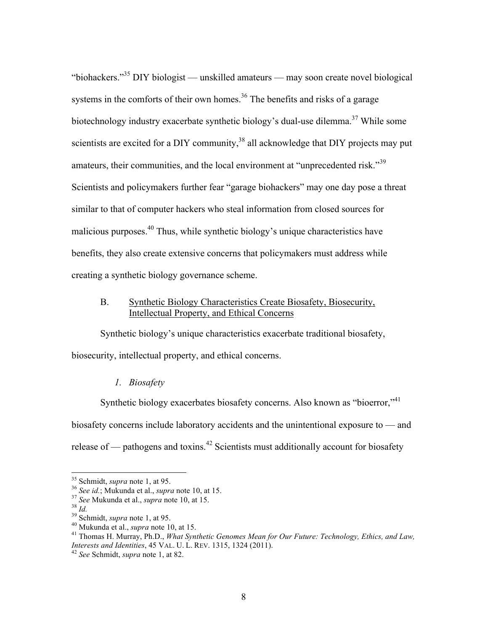"biohackers."35 DIY biologist — unskilled amateurs — may soon create novel biological systems in the comforts of their own homes.<sup>36</sup> The benefits and risks of a garage biotechnology industry exacerbate synthetic biology's dual-use dilemma.<sup>37</sup> While some scientists are excited for a DIY community,<sup>38</sup> all acknowledge that DIY projects may put amateurs, their communities, and the local environment at "unprecedented risk."<sup>39</sup> Scientists and policymakers further fear "garage biohackers" may one day pose a threat similar to that of computer hackers who steal information from closed sources for malicious purposes.40 Thus, while synthetic biology's unique characteristics have benefits, they also create extensive concerns that policymakers must address while creating a synthetic biology governance scheme.

# B. Synthetic Biology Characteristics Create Biosafety, Biosecurity, Intellectual Property, and Ethical Concerns

Synthetic biology's unique characteristics exacerbate traditional biosafety, biosecurity, intellectual property, and ethical concerns.

# *1. Biosafety*

Synthetic biology exacerbates biosafety concerns. Also known as "bioerror,"<sup>41</sup> biosafety concerns include laboratory accidents and the unintentional exposure to — and release of — pathogens and toxins.<sup>42</sup> Scientists must additionally account for biosafety

<sup>&</sup>lt;sup>35</sup> Schmidt, *supra* note 1, at 95.<br>
<sup>36</sup> See id.; Mukunda et al., *supra* note 10, at 15.<br>
<sup>37</sup> See Mukunda et al., *supra* note 10, at 15.<br>
<sup>39</sup> Schmidt, *supra* note 1, at 95.<br>
<sup>40</sup> Mukunda et al., *supra* note 10, at *Interests and Identities*, 45 VAL. U. L. REV. 1315, 1324 (2011). 42 *See* Schmidt, *supra* note 1, at 82.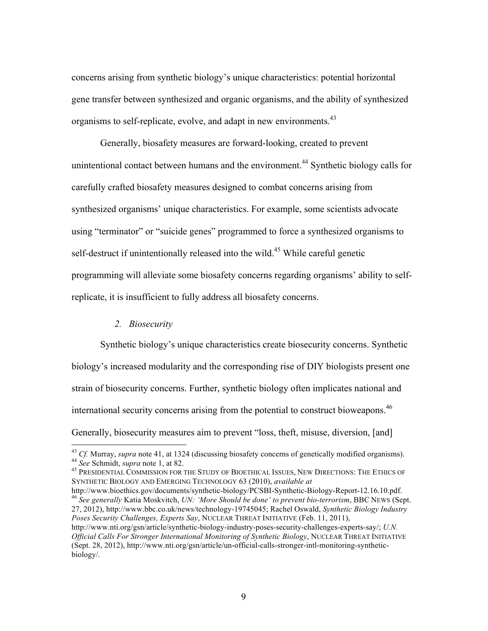concerns arising from synthetic biology's unique characteristics: potential horizontal gene transfer between synthesized and organic organisms, and the ability of synthesized organisms to self-replicate, evolve, and adapt in new environments.<sup>43</sup>

Generally, biosafety measures are forward-looking, created to prevent unintentional contact between humans and the environment.<sup>44</sup> Synthetic biology calls for carefully crafted biosafety measures designed to combat concerns arising from synthesized organisms' unique characteristics. For example, some scientists advocate using "terminator" or "suicide genes" programmed to force a synthesized organisms to self-destruct if unintentionally released into the wild.<sup>45</sup> While careful genetic programming will alleviate some biosafety concerns regarding organisms' ability to selfreplicate, it is insufficient to fully address all biosafety concerns.

#### *2. Biosecurity*

Synthetic biology's unique characteristics create biosecurity concerns. Synthetic biology's increased modularity and the corresponding rise of DIY biologists present one strain of biosecurity concerns. Further, synthetic biology often implicates national and international security concerns arising from the potential to construct bioweapons.<sup>46</sup> Generally, biosecurity measures aim to prevent "loss, theft, misuse, diversion, [and]

http://www.bioethics.gov/documents/synthetic-biology/PCSBI-Synthetic-Biology-Report-12.16.10.pdf.<br><sup>46</sup> See generally Katia Moskvitch, UN: 'More Should be done' to prevent bio-terrorism, BBC NEWS (Sept. 27, 2012), http://www.bbc.co.uk/news/technology-19745045; Rachel Oswald, *Synthetic Biology Industry Poses Security Challenges, Experts Say*, NUCLEAR THREAT INITIATIVE (Feb. 11, 2011), http://www.nti.org/gsn/article/synthetic-biology-industry-poses-security-challenges-experts-say/; *U.N. Official Calls For Stronger International Monitoring of Synthetic Biology*, NUCLEAR THREAT INITIATIVE (Sept. 28, 2012), http://www.nti.org/gsn/article/un-official-calls-stronger-intl-monitoring-syntheticbiology/.

<sup>&</sup>lt;sup>43</sup> Cf. Murray, *supra* note 41, at 1324 (discussing biosafety concerns of genetically modified organisms).<br><sup>44</sup> See Schmidt, *supra* note 1, at 82.<br><sup>45</sup> PRESIDENTIAL COMMISSION FOR THE STUDY OF BIOETHICAL ISSUES, NEW DI

SYNTHETIC BIOLOGY AND EMERGING TECHNOLOGY 63 (2010), *available at*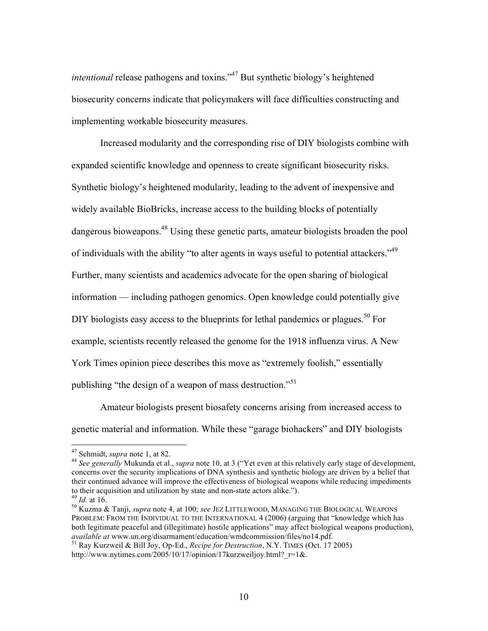*intentional* release pathogens and toxins."<sup>47</sup> But synthetic biology's heightened biosecurity concerns indicate that policymakers will face difficulties constructing and implementing workable biosecurity measures.

Increased modularity and the corresponding rise of DIY biologists combine with expanded scientific knowledge and openness to create significant biosecurity risks. Synthetic biology's heightened modularity, leading to the advent of inexpensive and widely available BioBricks, increase access to the building blocks of potentially dangerous bioweapons.<sup>48</sup> Using these genetic parts, amateur biologists broaden the pool of individuals with the ability "to alter agents in ways useful to potential attackers."<sup>49</sup> Further, many scientists and academics advocate for the open sharing of biological information — including pathogen genomics. Open knowledge could potentially give DIY biologists easy access to the blueprints for lethal pandemics or plagues.<sup>50</sup> For example, scientists recently released the genome for the 1918 influenza virus. A New York Times opinion piece describes this move as "extremely foolish," essentially publishing "the design of a weapon of mass destruction."<sup>51</sup>

Amateur biologists present biosafety concerns arising from increased access to genetic material and information. While these "garage biohackers" and DIY biologists

<sup>&</sup>lt;sup>47</sup> Schmidt, *supra* note 1, at 82.<br><sup>48</sup> *See generally* Mukunda et al., *supra* note 10, at 3 ("Yet even at this relatively early stage of development, concerns over the security implications of DNA synthesis and synthetic biology are driven by a belief that their continued advance will improve the effectiveness of biological weapons while reducing impediments to their acquisition and utilization by state and non-state actors alike.").<br><sup>49</sup> *Id.* at 16.<br><sup>50</sup> Kuzma & Tanji, *supra* note 4, at 100; *see* JEZ LITTLEWOOD, MANAGING THE BIOLOGICAL WEAPONS

PROBLEM: FROM THE INDIVIDUAL TO THE INTERNATIONAL 4 (2006) (arguing that "knowledge which has both legitimate peaceful and (illegitimate) hostile applications" may affect biological weapons production), *available at* www.un.org/disarmament/education/wmdcommission/files/no14.pdf.

<sup>&</sup>lt;sup>51</sup> Ray Kurzweil & Bill Joy, Op-Ed., *Recipe for Destruction*, N.Y. TIMES (Oct. 17 2005) http://www.nytimes.com/2005/10/17/opinion/17kurzweiljoy.html? $r=1&$ .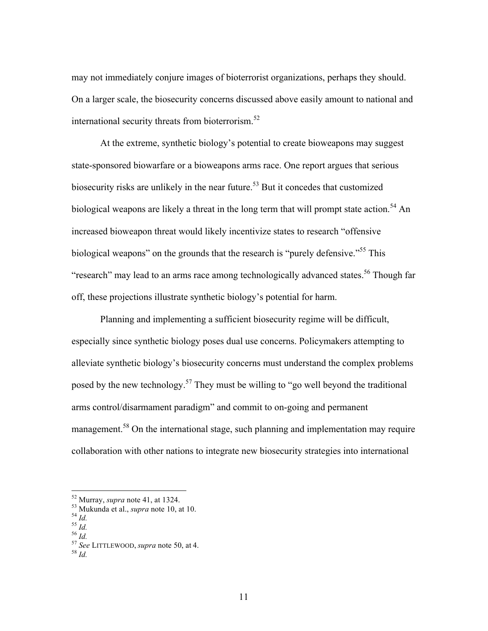may not immediately conjure images of bioterrorist organizations, perhaps they should. On a larger scale, the biosecurity concerns discussed above easily amount to national and international security threats from bioterrorism.<sup>52</sup>

At the extreme, synthetic biology's potential to create bioweapons may suggest state-sponsored biowarfare or a bioweapons arms race. One report argues that serious biosecurity risks are unlikely in the near future.<sup>53</sup> But it concedes that customized biological weapons are likely a threat in the long term that will prompt state action.<sup>54</sup> An increased bioweapon threat would likely incentivize states to research "offensive biological weapons" on the grounds that the research is "purely defensive."<sup>55</sup> This "research" may lead to an arms race among technologically advanced states.<sup>56</sup> Though far off, these projections illustrate synthetic biology's potential for harm.

Planning and implementing a sufficient biosecurity regime will be difficult, especially since synthetic biology poses dual use concerns. Policymakers attempting to alleviate synthetic biology's biosecurity concerns must understand the complex problems posed by the new technology.<sup>57</sup> They must be willing to "go well beyond the traditional arms control/disarmament paradigm" and commit to on-going and permanent management.<sup>58</sup> On the international stage, such planning and implementation may require collaboration with other nations to integrate new biosecurity strategies into international

 <sup>52</sup> Murray, *supra* note 41, at 1324. 53 Mukunda et al., *supra* note 10, at 10. 54 *Id.* <sup>55</sup> *Id.* <sup>56</sup> *Id.* <sup>57</sup> *See* LITTLEWOOD, *supra* note 50, at 4. <sup>58</sup> *Id.*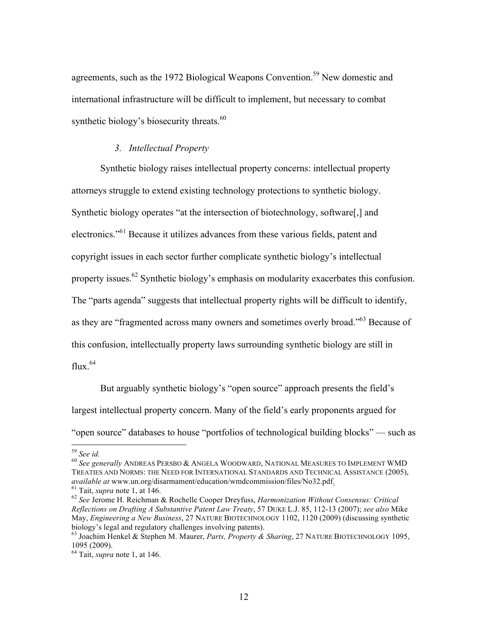agreements, such as the 1972 Biological Weapons Convention.<sup>59</sup> New domestic and international infrastructure will be difficult to implement, but necessary to combat synthetic biology's biosecurity threats.<sup>60</sup>

#### *3. Intellectual Property*

Synthetic biology raises intellectual property concerns: intellectual property attorneys struggle to extend existing technology protections to synthetic biology. Synthetic biology operates "at the intersection of biotechnology, software[,] and electronics."61 Because it utilizes advances from these various fields, patent and copyright issues in each sector further complicate synthetic biology's intellectual property issues.<sup>62</sup> Synthetic biology's emphasis on modularity exacerbates this confusion. The "parts agenda" suggests that intellectual property rights will be difficult to identify, as they are "fragmented across many owners and sometimes overly broad."63 Because of this confusion, intellectually property laws surrounding synthetic biology are still in flux  $64$ 

But arguably synthetic biology's "open source" approach presents the field's largest intellectual property concern. Many of the field's early proponents argued for "open source" databases to house "portfolios of technological building blocks" — such as

<sup>&</sup>lt;sup>59</sup> See id.<br><sup>60</sup> See generally ANDREAS PERSBO & ANGELA WOODWARD, NATIONAL MEASURES TO IMPLEMENT WMD TREATIES AND NORMS: THE NEED FOR INTERNATIONAL STANDARDS AND TECHNICAL ASSISTANCE (2005), *available at* www.un.org/disarmament/education/wmdcommission/files/No32.pdf<sub>2</sub><br><sup>61</sup> Tait, *supra* note 1, at 146.<br><sup>62</sup> See Jerome H. Reichman & Rochelle Cooper Dreyfuss, *Harmonization Without Consensus: Critical* 

*Reflections on Drafting A Substantive Patent Law Treaty*, 57 DUKE L.J. 85, 112-13 (2007); *see also* Mike May, *Engineering a New Business*, 27 NATURE BIOTECHNOLOGY 1102, 1120 (2009) (discussing synthetic biology's legal and regulatory challenges involving patents).

<sup>63</sup> Joachim Henkel & Stephen M. Maurer, *Parts, Property & Sharing*, 27 NATURE BIOTECHNOLOGY 1095, 1095 (2009).

<sup>64</sup> Tait, *supra* note 1, at 146.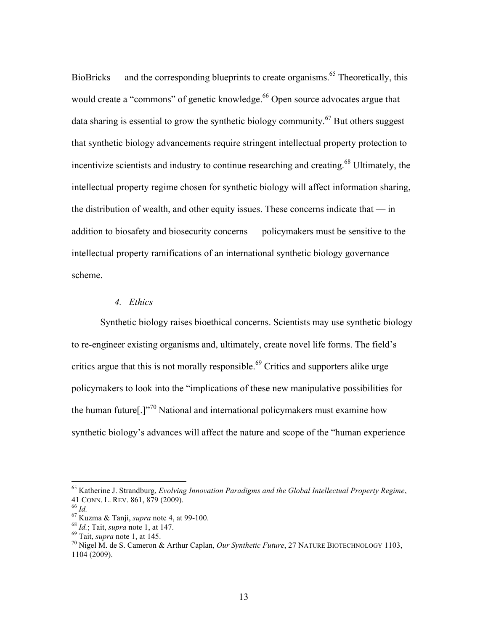BioBricks — and the corresponding blueprints to create organisms.<sup>65</sup> Theoretically, this would create a "commons" of genetic knowledge.<sup>66</sup> Open source advocates argue that data sharing is essential to grow the synthetic biology community.<sup>67</sup> But others suggest that synthetic biology advancements require stringent intellectual property protection to incentivize scientists and industry to continue researching and creating.<sup>68</sup> Ultimately, the intellectual property regime chosen for synthetic biology will affect information sharing, the distribution of wealth, and other equity issues. These concerns indicate that — in addition to biosafety and biosecurity concerns — policymakers must be sensitive to the intellectual property ramifications of an international synthetic biology governance scheme.

## *4. Ethics*

Synthetic biology raises bioethical concerns. Scientists may use synthetic biology to re-engineer existing organisms and, ultimately, create novel life forms. The field's critics argue that this is not morally responsible.<sup>69</sup> Critics and supporters alike urge policymakers to look into the "implications of these new manipulative possibilities for the human future $[.]$ <sup>"70</sup> National and international policymakers must examine how synthetic biology's advances will affect the nature and scope of the "human experience

 <sup>65</sup> Katherine J. Strandburg, *Evolving Innovation Paradigms and the Global Intellectual Property Regime*, 41 CONN. L. REV. 861, 879 (2009).<br>
<sup>66</sup> *Id.*<br>
<sup>67</sup> Kuzma & Tanji, *supra* note 4, at 99-100.<br>
<sup>68</sup> *Id.*; Tait, *supra* note 1, at 147.<br>
<sup>69</sup> Tait, *supra* note 1, at 145.<br>
<sup>70</sup> Nigel M. de S. Cameron & Arthur Caplan, *O* 

<sup>1104 (2009).</sup>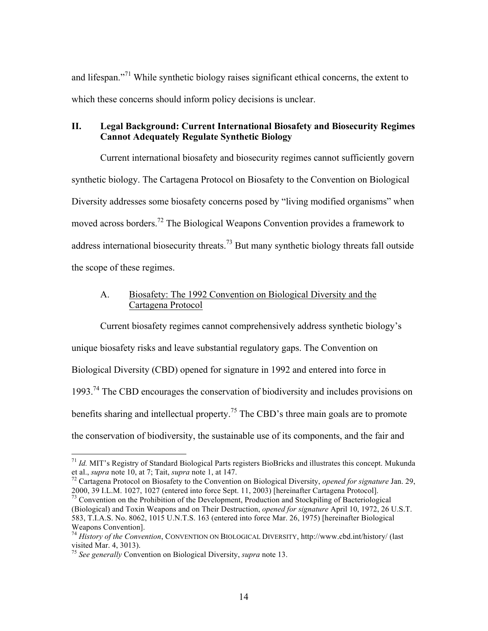and lifespan."<sup>71</sup> While synthetic biology raises significant ethical concerns, the extent to which these concerns should inform policy decisions is unclear.

# **II. Legal Background: Current International Biosafety and Biosecurity Regimes Cannot Adequately Regulate Synthetic Biology**

Current international biosafety and biosecurity regimes cannot sufficiently govern synthetic biology. The Cartagena Protocol on Biosafety to the Convention on Biological Diversity addresses some biosafety concerns posed by "living modified organisms" when moved across borders.72 The Biological Weapons Convention provides a framework to address international biosecurity threats.<sup>73</sup> But many synthetic biology threats fall outside the scope of these regimes.

# A. Biosafety: The 1992 Convention on Biological Diversity and the Cartagena Protocol

Current biosafety regimes cannot comprehensively address synthetic biology's unique biosafety risks and leave substantial regulatory gaps. The Convention on Biological Diversity (CBD) opened for signature in 1992 and entered into force in 1993.74 The CBD encourages the conservation of biodiversity and includes provisions on benefits sharing and intellectual property.<sup>75</sup> The CBD's three main goals are to promote the conservation of biodiversity, the sustainable use of its components, and the fair and

<sup>&</sup>lt;sup>71</sup> *Id.* MIT's Registry of Standard Biological Parts registers BioBricks and illustrates this concept. Mukunda et al., *supra* note 10, at 7; Tait, *supra* note 1, at 147.

<sup>&</sup>lt;sup>72</sup> Cartagena Protocol on Biosafety to the Convention on Biological Diversity, *opened for signature* Jan. 29, 2000, 39 I.L.M. 1027, 1027 (entered into force Sept. 11, 2003) [hereinafter Cartagena Protocol].<br><sup>73</sup> Convention on the Prohibition of the Development, Production and Stockpiling of Bacteriological

<sup>(</sup>Biological) and Toxin Weapons and on Their Destruction, *opened for signature* April 10, 1972, 26 U.S.T. 583, T.I.A.S. No. 8062, 1015 U.N.T.S. 163 (entered into force Mar. 26, 1975) [hereinafter Biological

<sup>&</sup>lt;sup>74</sup> *History of the Convention*, CONVENTION ON BIOLOGICAL DIVERSITY, http://www.cbd.int/history/ (last visited Mar. 4, 3013).

<sup>75</sup> *See generally* Convention on Biological Diversity, *supra* note 13.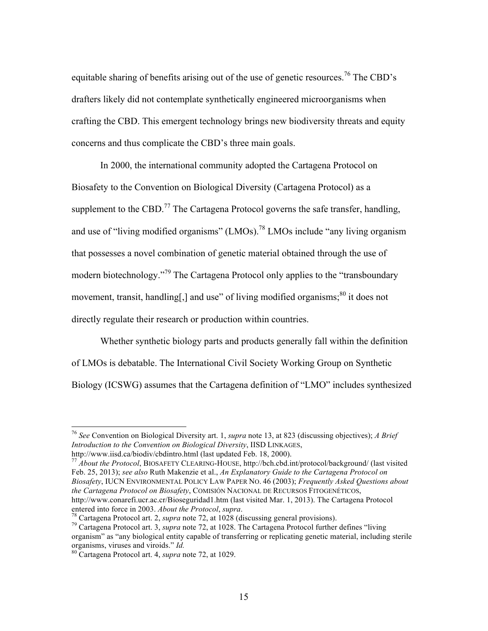equitable sharing of benefits arising out of the use of genetic resources.<sup>76</sup> The CBD's drafters likely did not contemplate synthetically engineered microorganisms when crafting the CBD. This emergent technology brings new biodiversity threats and equity concerns and thus complicate the CBD's three main goals.

In 2000, the international community adopted the Cartagena Protocol on Biosafety to the Convention on Biological Diversity (Cartagena Protocol) as a supplement to the CBD.<sup>77</sup> The Cartagena Protocol governs the safe transfer, handling, and use of "living modified organisms" (LMOs).<sup>78</sup> LMOs include "any living organism that possesses a novel combination of genetic material obtained through the use of modern biotechnology."<sup>79</sup> The Cartagena Protocol only applies to the "transboundary" movement, transit, handling[,] and use" of living modified organisms; $^{80}$  it does not directly regulate their research or production within countries.

Whether synthetic biology parts and products generally fall within the definition of LMOs is debatable. The International Civil Society Working Group on Synthetic Biology (ICSWG) assumes that the Cartagena definition of "LMO" includes synthesized

 <sup>76</sup> *See* Convention on Biological Diversity art. 1, *supra* note 13, at 823 (discussing objectives); *A Brief Introduction to the Convention on Biological Diversity*, IISD LINKAGES, http://www.iisd.ca/biodiv/cbdintro.html (last updated Feb. 18, 2000).

<sup>&</sup>lt;sup>77</sup> About the Protocol, BIOSAFETY CLEARING-HOUSE, http://bch.cbd.int/protocol/background/ (last visited Feb. 25, 2013); *see also* Ruth Makenzie et al., *An Explanatory Guide to the Cartagena Protocol on Biosafety*, IUCN ENVIRONMENTAL POLICY LAW PAPER NO. 46 (2003); *Frequently Asked Questions about the Cartagena Protocol on Biosafety*, COMISIÓN NACIONAL DE RECURSOS FITOGENÉTICOS, http://www.conarefi.ucr.ac.cr/Bioseguridad1.htm (last visited Mar. 1, 2013). The Cartagena Protocol

entered into force in 2003. About the Protocol, supra.<br><sup>78</sup> Cartagena Protocol art. 2, *supra* note 72, at 1028 (discussing general provisions).<br><sup>79</sup> Cartagena Protocol art. 3, *supra* note 72, at 1028. The Cartagena Proto organism" as "any biological entity capable of transferring or replicating genetic material, including sterile organisms, viruses and viroids." *Id.* <sup>80</sup> Cartagena Protocol art. 4, *supra* note 72, at 1029.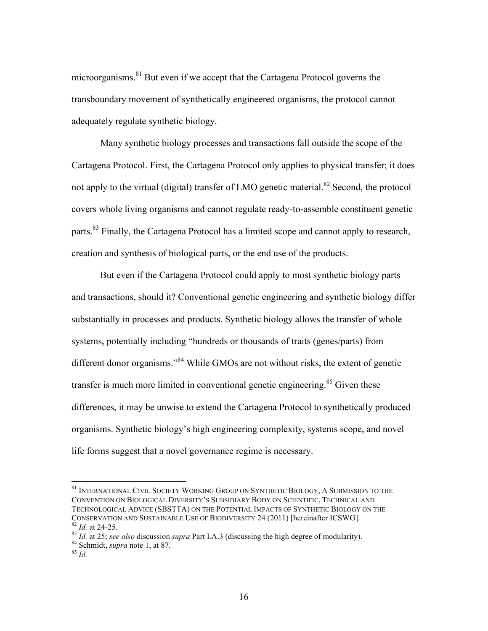microorganisms.<sup>81</sup> But even if we accept that the Cartagena Protocol governs the transboundary movement of synthetically engineered organisms, the protocol cannot adequately regulate synthetic biology.

Many synthetic biology processes and transactions fall outside the scope of the Cartagena Protocol. First, the Cartagena Protocol only applies to physical transfer; it does not apply to the virtual (digital) transfer of LMO genetic material.<sup>82</sup> Second, the protocol covers whole living organisms and cannot regulate ready-to-assemble constituent genetic parts.<sup>83</sup> Finally, the Cartagena Protocol has a limited scope and cannot apply to research, creation and synthesis of biological parts, or the end use of the products.

But even if the Cartagena Protocol could apply to most synthetic biology parts and transactions, should it? Conventional genetic engineering and synthetic biology differ substantially in processes and products. Synthetic biology allows the transfer of whole systems, potentially including "hundreds or thousands of traits (genes/parts) from different donor organisms."<sup>84</sup> While GMOs are not without risks, the extent of genetic transfer is much more limited in conventional genetic engineering.<sup>85</sup> Given these differences, it may be unwise to extend the Cartagena Protocol to synthetically produced organisms. Synthetic biology's high engineering complexity, systems scope, and novel life forms suggest that a novel governance regime is necessary.

 <sup>81</sup> INTERNATIONAL CIVIL SOCIETY WORKING GROUP ON SYNTHETIC BIOLOGY, <sup>A</sup> SUBMISSION TO THE CONVENTION ON BIOLOGICAL DIVERSITY'S SUBSIDIARY BODY ON SCIENTIFIC, TECHNICAL AND TECHNOLOGICAL ADVICE (SBSTTA) ON THE POTENTIAL IMPACTS OF SYNTHETIC BIOLOGY ON THE CONSERVATION AND SUSTAINABLE USE OF BIODIVERSITY 24 (2011) [hereinafter ICSWG].<br><sup>82</sup> *Id.* at 24-25.<br><sup>83</sup> *Id.* at 25; see also discussion supra Part I.A.3 (discussing the high degree of modularity).<br><sup>84</sup> Schmidt, supra n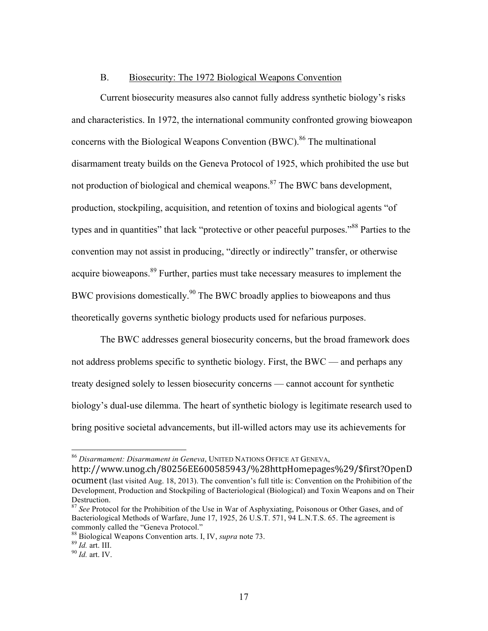#### B. Biosecurity: The 1972 Biological Weapons Convention

Current biosecurity measures also cannot fully address synthetic biology's risks and characteristics. In 1972, the international community confronted growing bioweapon concerns with the Biological Weapons Convention  $(BWC)$ .<sup>86</sup> The multinational disarmament treaty builds on the Geneva Protocol of 1925, which prohibited the use but not production of biological and chemical weapons. $87$  The BWC bans development, production, stockpiling, acquisition, and retention of toxins and biological agents "of types and in quantities" that lack "protective or other peaceful purposes."<sup>88</sup> Parties to the convention may not assist in producing, "directly or indirectly" transfer, or otherwise acquire bioweapons.<sup>89</sup> Further, parties must take necessary measures to implement the BWC provisions domestically.<sup>90</sup> The BWC broadly applies to bioweapons and thus theoretically governs synthetic biology products used for nefarious purposes.

The BWC addresses general biosecurity concerns, but the broad framework does not address problems specific to synthetic biology. First, the BWC — and perhaps any treaty designed solely to lessen biosecurity concerns — cannot account for synthetic biology's dual-use dilemma. The heart of synthetic biology is legitimate research used to bring positive societal advancements, but ill-willed actors may use its achievements for

 <sup>86</sup> *Disarmament: Disarmament in Geneva*, UNITED NATIONS OFFICE AT GENEVA,

http://www.unog.ch/80256EE600585943/%28httpHomepages%29/\$first?OpenD ocument (last visited Aug. 18, 2013). The convention's full title is: Convention on the Prohibition of the Development, Production and Stockpiling of Bacteriological (Biological) and Toxin Weapons and on Their Destruction.

<sup>&</sup>lt;sup>87</sup> See Protocol for the Prohibition of the Use in War of Asphyxiating, Poisonous or Other Gases, and of Bacteriological Methods of Warfare, June 17, 1925, 26 U.S.T. 571, 94 L.N.T.S. 65. The agreement is commonly called the "Geneva Protocol."

<sup>&</sup>lt;sup>88</sup> Biological Weapons Convention arts. I, IV, *supra* note 73.<br><sup>89</sup> *Id.* art. III. 90 *Id.* art. IV.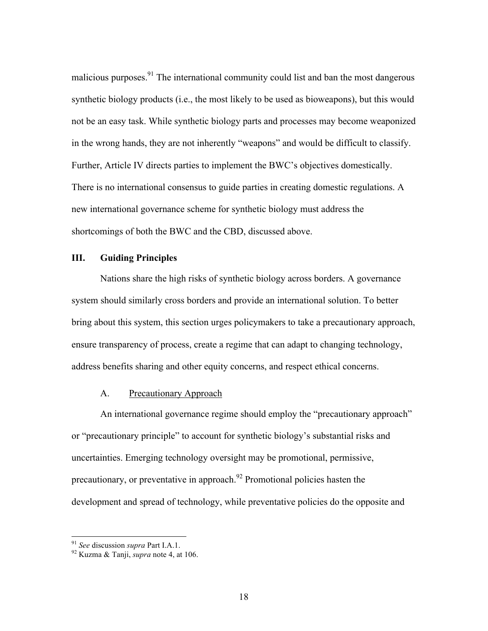malicious purposes.<sup>91</sup> The international community could list and ban the most dangerous synthetic biology products (i.e., the most likely to be used as bioweapons), but this would not be an easy task. While synthetic biology parts and processes may become weaponized in the wrong hands, they are not inherently "weapons" and would be difficult to classify. Further, Article IV directs parties to implement the BWC's objectives domestically. There is no international consensus to guide parties in creating domestic regulations. A new international governance scheme for synthetic biology must address the shortcomings of both the BWC and the CBD, discussed above.

# **III. Guiding Principles**

Nations share the high risks of synthetic biology across borders. A governance system should similarly cross borders and provide an international solution. To better bring about this system, this section urges policymakers to take a precautionary approach, ensure transparency of process, create a regime that can adapt to changing technology, address benefits sharing and other equity concerns, and respect ethical concerns.

## A. Precautionary Approach

An international governance regime should employ the "precautionary approach" or "precautionary principle" to account for synthetic biology's substantial risks and uncertainties. Emerging technology oversight may be promotional, permissive, precautionary, or preventative in approach.<sup>92</sup> Promotional policies hasten the development and spread of technology, while preventative policies do the opposite and

 <sup>91</sup> *See* discussion *supra* Part I.A.1. 92 Kuzma & Tanji, *supra* note 4, at 106.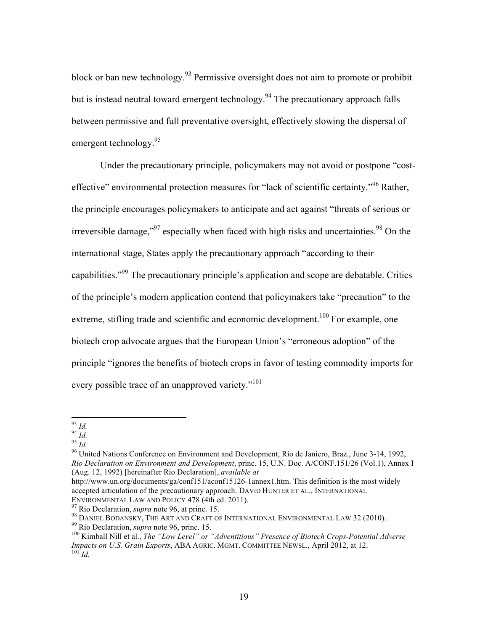block or ban new technology.<sup>93</sup> Permissive oversight does not aim to promote or prohibit but is instead neutral toward emergent technology.<sup>94</sup> The precautionary approach falls between permissive and full preventative oversight, effectively slowing the dispersal of emergent technology.<sup>95</sup>

Under the precautionary principle, policymakers may not avoid or postpone "costeffective" environmental protection measures for "lack of scientific certainty."<sup>96</sup> Rather, the principle encourages policymakers to anticipate and act against "threats of serious or irreversible damage,"<sup>97</sup> especially when faced with high risks and uncertainties.<sup>98</sup> On the international stage, States apply the precautionary approach "according to their capabilities."99 The precautionary principle's application and scope are debatable. Critics of the principle's modern application contend that policymakers take "precaution" to the extreme, stifling trade and scientific and economic development.<sup>100</sup> For example, one biotech crop advocate argues that the European Union's "erroneous adoption" of the principle "ignores the benefits of biotech crops in favor of testing commodity imports for every possible trace of an unapproved variety."<sup>101</sup>

93 *Id.*<br><sup>94</sup> *Id.*<br><sup>95</sup> *Id.*<br><sup>96</sup> United Nations Conference on Environment and Development, Rio de Janiero, Braz., June 3-14, 1992, *Rio Declaration on Environment and Development*, princ. 15, U.N. Doc. A/CONF.151/26 (Vol.1), Annex I (Aug. 12, 1992) [hereinafter Rio Declaration], *available at*

http://www.un.org/documents/ga/conf151/aconf15126-1annex1.htm. This definition is the most widely accepted articulation of the precautionary approach. DAVID HUNTER ET AL., INTERNATIONAL

ENVIRONMENTAL LAW AND POLICY 478 (4th ed. 2011).<br><sup>97</sup> Rio Declaration, *supra* note 96, at princ. 15.<br><sup>98</sup> DANIEL BODANSKY, THE ART AND CRAFT OF INTERNATIONAL ENVIRONMENTAL LAW 32 (2010).<br><sup>99</sup> Rio Declaration, *supra* note

*Impacts on U.S. Grain Exports*, ABA AGRIC. MGMT. COMMITTEE NEWSL., April 2012, at 12. <sup>101</sup> *Id.*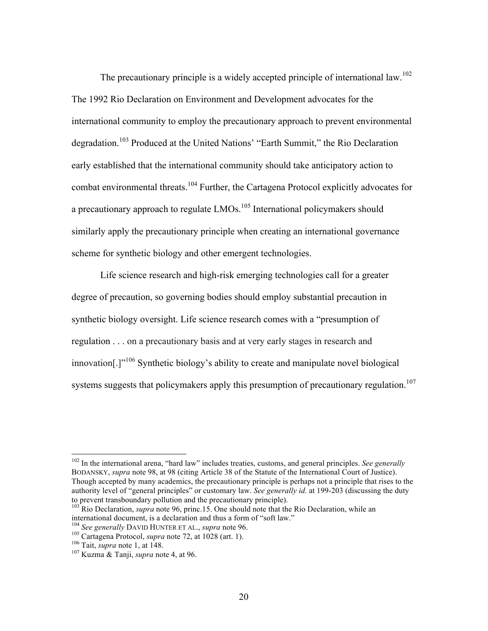The precautionary principle is a widely accepted principle of international law.<sup>102</sup> The 1992 Rio Declaration on Environment and Development advocates for the international community to employ the precautionary approach to prevent environmental degradation.<sup>103</sup> Produced at the United Nations' "Earth Summit," the Rio Declaration early established that the international community should take anticipatory action to combat environmental threats.<sup>104</sup> Further, the Cartagena Protocol explicitly advocates for a precautionary approach to regulate LMOs.<sup>105</sup> International policymakers should similarly apply the precautionary principle when creating an international governance scheme for synthetic biology and other emergent technologies.

Life science research and high-risk emerging technologies call for a greater degree of precaution, so governing bodies should employ substantial precaution in synthetic biology oversight. Life science research comes with a "presumption of regulation . . . on a precautionary basis and at very early stages in research and innovation[.]"<sup>106</sup> Synthetic biology's ability to create and manipulate novel biological systems suggests that policymakers apply this presumption of precautionary regulation.<sup>107</sup>

 <sup>102</sup> In the international arena, "hard law" includes treaties, customs, and general principles. *See generally* BODANSKY, *supra* note 98, at 98 (citing Article 38 of the Statute of the International Court of Justice). Though accepted by many academics, the precautionary principle is perhaps not a principle that rises to the authority level of "general principles" or customary law. *See generally id.* at 199-203 (discussing the duty to prevent transboundary pollution and the precautionary principle).

<sup>&</sup>lt;sup>103</sup> Rio Declaration, *supra* note 96, princ.15. One should note that the Rio Declaration, while an international document, is a declaration and thus a form of "soft law."<br><sup>104</sup> See generally DAVID HUNTER ET AL., *supra* note 96.

<sup>&</sup>lt;sup>105</sup> Cartagena Protocol, *supra* note 72, at 1028 (art. 1).<br><sup>106</sup> Tait, *supra* note 1, at 148.<br><sup>107</sup> Kuzma & Tanji, *supra* note 4, at 96.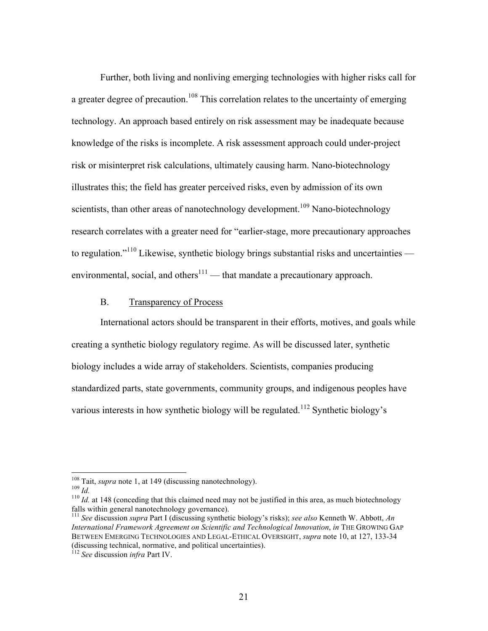Further, both living and nonliving emerging technologies with higher risks call for a greater degree of precaution.<sup>108</sup> This correlation relates to the uncertainty of emerging technology. An approach based entirely on risk assessment may be inadequate because knowledge of the risks is incomplete. A risk assessment approach could under-project risk or misinterpret risk calculations, ultimately causing harm. Nano-biotechnology illustrates this; the field has greater perceived risks, even by admission of its own scientists, than other areas of nanotechnology development.<sup>109</sup> Nano-biotechnology research correlates with a greater need for "earlier-stage, more precautionary approaches to regulation.<sup>"110</sup> Likewise, synthetic biology brings substantial risks and uncertainties environmental, social, and others<sup>111</sup> — that mandate a precautionary approach.

### B. Transparency of Process

International actors should be transparent in their efforts, motives, and goals while creating a synthetic biology regulatory regime. As will be discussed later, synthetic biology includes a wide array of stakeholders. Scientists, companies producing standardized parts, state governments, community groups, and indigenous peoples have various interests in how synthetic biology will be regulated.<sup>112</sup> Synthetic biology's

<sup>&</sup>lt;sup>108</sup> Tait, *supra* note 1, at 149 (discussing nanotechnology).<br><sup>109</sup> *Id.* 110 *Id.* at 148 (conceding that this claimed need may not be justified in this area, as much biotechnology falls within general nanotechnology governance). 111 *See* discussion *supra* Part I (discussing synthetic biology's risks); *see also* Kenneth W. Abbott, *An* 

*International Framework Agreement on Scientific and Technological Innovation*, *in* THE GROWING GAP BETWEEN EMERGING TECHNOLOGIES AND LEGAL-ETHICAL OVERSIGHT, *supra* note 10, at 127, 133-34 (discussing technical, normative, and political uncertainties).

<sup>112</sup> *See* discussion *infra* Part IV.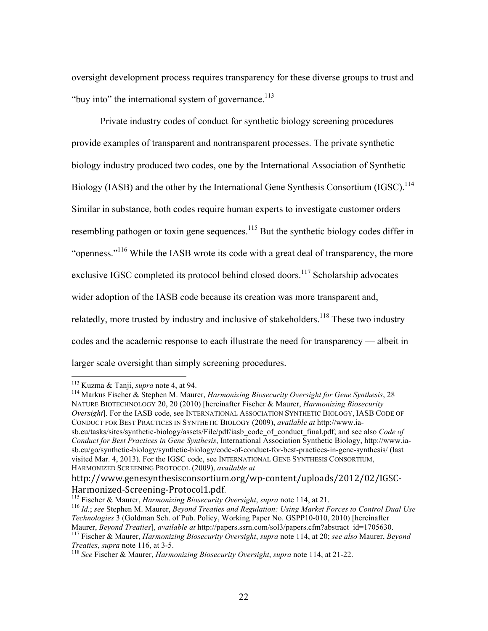oversight development process requires transparency for these diverse groups to trust and "buy into" the international system of governance.<sup>113</sup>

Private industry codes of conduct for synthetic biology screening procedures provide examples of transparent and nontransparent processes. The private synthetic biology industry produced two codes, one by the International Association of Synthetic Biology (IASB) and the other by the International Gene Synthesis Consortium (IGSC).<sup>114</sup> Similar in substance, both codes require human experts to investigate customer orders resembling pathogen or toxin gene sequences.<sup>115</sup> But the synthetic biology codes differ in "openness."<sup>116</sup> While the IASB wrote its code with a great deal of transparency, the more exclusive IGSC completed its protocol behind closed doors.<sup>117</sup> Scholarship advocates wider adoption of the IASB code because its creation was more transparent and, relatedly, more trusted by industry and inclusive of stakeholders.<sup>118</sup> These two industry codes and the academic response to each illustrate the need for transparency — albeit in larger scale oversight than simply screening procedures.

<sup>&</sup>lt;sup>113</sup> Kuzma & Tanji, *supra* note 4, at 94.<br><sup>114</sup> Markus Fischer & Stephen M. Maurer, *Harmonizing Biosecurity Oversight for Gene Synthesis*, 28 NATURE BIOTECHNOLOGY 20, 20 (2010) [hereinafter Fischer & Maurer, *Harmonizing Biosecurity Oversight*]. For the IASB code, see INTERNATIONAL ASSOCIATION SYNTHETIC BIOLOGY, IASB CODE OF CONDUCT FOR BEST PRACTICES IN SYNTHETIC BIOLOGY (2009), *available at* http://www.iasb.eu/tasks/sites/synthetic-biology/assets/File/pdf/iasb\_code\_of\_conduct\_final.pdf; and see also *Code of Conduct for Best Practices in Gene Synthesis*, International Association Synthetic Biology, http://www.iasb.eu/go/synthetic-biology/synthetic-biology/code-of-conduct-for-best-practices-in-gene-synthesis/ (last visited Mar. 4, 2013). For the IGSC code, see INTERNATIONAL GENE SYNTHESIS CONSORTIUM, HARMONIZED SCREENING PROTOCOL (2009), *available at*

http://www.genesynthesisconsortium.org/wp-content/uploads/2012/02/IGSC-Harmonized-Screening-Protocol1.pdf.<br><sup>115</sup> Fischer & Maurer, *Harmonizing Biosecurity Oversight*, *supra* note 114, at 21.<br><sup>116</sup> Id.: see Stephen M. Maurer, *Bevond Treaties and Regulation: Using Market Forces to Control Du* 

*Technologies* 3 (Goldman Sch. of Pub. Policy, Working Paper No. GSPP10-010, 2010) [hereinafter

Maurer, *Beyond Treaties*], *available at http://papers.ssrn.com/sol3/papers.cfm?abstract\_id=1705630.*<br><sup>117</sup> Fischer & Maurer, *Harmonizing Biosecurity Oversight, supra* note 114, at 20; *see also* Maurer, *Beyond Treaties* 

*Treaties*, *supra* note 116, at 3-5. <sup>118</sup> *See* Fischer & Maurer, *Harmonizing Biosecurity Oversight*, *supra* note 114, at 21-22.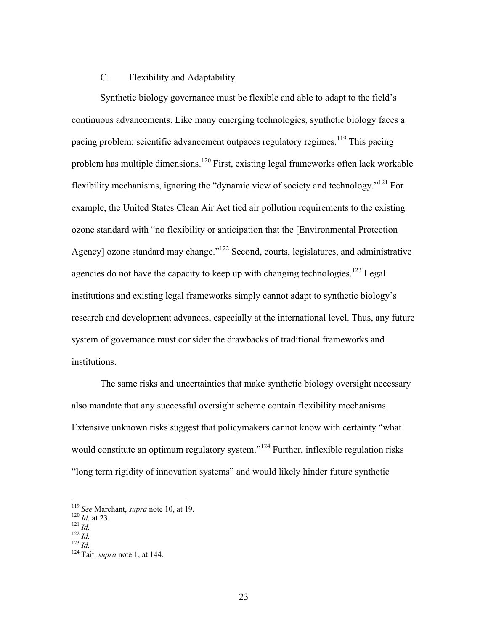## C. Flexibility and Adaptability

Synthetic biology governance must be flexible and able to adapt to the field's continuous advancements. Like many emerging technologies, synthetic biology faces a pacing problem: scientific advancement outpaces regulatory regimes.<sup>119</sup> This pacing problem has multiple dimensions.<sup>120</sup> First, existing legal frameworks often lack workable flexibility mechanisms, ignoring the "dynamic view of society and technology."<sup>121</sup> For example, the United States Clean Air Act tied air pollution requirements to the existing ozone standard with "no flexibility or anticipation that the [Environmental Protection Agency] ozone standard may change."<sup>122</sup> Second, courts, legislatures, and administrative agencies do not have the capacity to keep up with changing technologies.<sup>123</sup> Legal institutions and existing legal frameworks simply cannot adapt to synthetic biology's research and development advances, especially at the international level. Thus, any future system of governance must consider the drawbacks of traditional frameworks and institutions.

The same risks and uncertainties that make synthetic biology oversight necessary also mandate that any successful oversight scheme contain flexibility mechanisms. Extensive unknown risks suggest that policymakers cannot know with certainty "what would constitute an optimum regulatory system."<sup>124</sup> Further, inflexible regulation risks "long term rigidity of innovation systems" and would likely hinder future synthetic

<sup>119</sup> *See* Marchant, *supra* note 10, at 19.<br>
<sup>120</sup> *Id.* at 23.<br>
<sup>121</sup> *Id.*<br>
<sup>123</sup> *Id.* <sup>124</sup> Tait, *supra* note 1, at 144.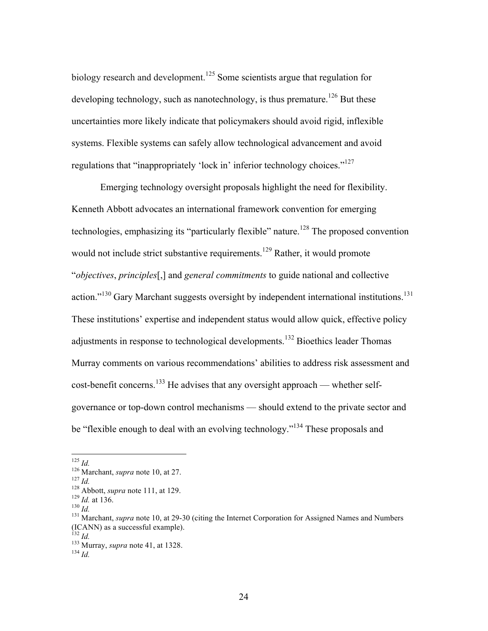biology research and development.<sup>125</sup> Some scientists argue that regulation for developing technology, such as nanotechnology, is thus premature.<sup>126</sup> But these uncertainties more likely indicate that policymakers should avoid rigid, inflexible systems. Flexible systems can safely allow technological advancement and avoid regulations that "inappropriately 'lock in' inferior technology choices."<sup>127</sup>

Emerging technology oversight proposals highlight the need for flexibility. Kenneth Abbott advocates an international framework convention for emerging technologies, emphasizing its "particularly flexible" nature.<sup>128</sup> The proposed convention would not include strict substantive requirements.<sup>129</sup> Rather, it would promote "*objectives*, *principles*[,] and *general commitments* to guide national and collective action."<sup>130</sup> Gary Marchant suggests oversight by independent international institutions.<sup>131</sup> These institutions' expertise and independent status would allow quick, effective policy adjustments in response to technological developments.<sup>132</sup> Bioethics leader Thomas Murray comments on various recommendations' abilities to address risk assessment and  $cost\text{-}beneft \text{ concerns.}^{133}$  He advises that any oversight approach — whether selfgovernance or top-down control mechanisms — should extend to the private sector and be "flexible enough to deal with an evolving technology."<sup>134</sup> These proposals and

<sup>&</sup>lt;sup>125</sup> *Id.*<br><sup>126</sup> Marchant, *supra* note 10, at 27.<br><sup>127</sup> *Id.*<br><sup>128</sup> Abbott, *supra* note 111, at 129.<br><sup>129</sup> *Id.* at 136.<br><sup>130</sup> *Id.*<br><sup>131</sup> Marchant, *supra* note 10, at 29-30 (citing the Internet Corporation for Assign (ICANN) as a successful example).<br> $^{132}$  *Id.* 

<sup>132</sup> *Id.* <sup>133</sup> Murray, *supra* note 41, at 1328. <sup>134</sup> *Id.*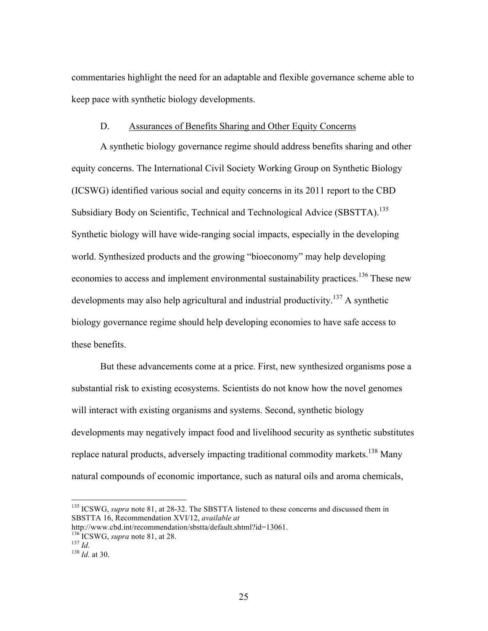commentaries highlight the need for an adaptable and flexible governance scheme able to keep pace with synthetic biology developments.

#### D. Assurances of Benefits Sharing and Other Equity Concerns

A synthetic biology governance regime should address benefits sharing and other equity concerns. The International Civil Society Working Group on Synthetic Biology (ICSWG) identified various social and equity concerns in its 2011 report to the CBD Subsidiary Body on Scientific, Technical and Technological Advice (SBSTTA).<sup>135</sup> Synthetic biology will have wide-ranging social impacts, especially in the developing world. Synthesized products and the growing "bioeconomy" may help developing economies to access and implement environmental sustainability practices.<sup>136</sup> These new developments may also help agricultural and industrial productivity.<sup>137</sup> A synthetic biology governance regime should help developing economies to have safe access to these benefits.

But these advancements come at a price. First, new synthesized organisms pose a substantial risk to existing ecosystems. Scientists do not know how the novel genomes will interact with existing organisms and systems. Second, synthetic biology developments may negatively impact food and livelihood security as synthetic substitutes replace natural products, adversely impacting traditional commodity markets.<sup>138</sup> Many natural compounds of economic importance, such as natural oils and aroma chemicals,

<sup>&</sup>lt;sup>135</sup> ICSWG, *supra* note 81, at 28-32. The SBSTTA listened to these concerns and discussed them in SBSTTA 16, Recommendation XVI/12, *available at*

http://www.cbd.int/recommendation/sbstta/default.shtml?id=13061.

<sup>136</sup> ICSWG, *supra* note 81, at 28. <sup>137</sup> *Id.* <sup>138</sup> *Id.* at 30.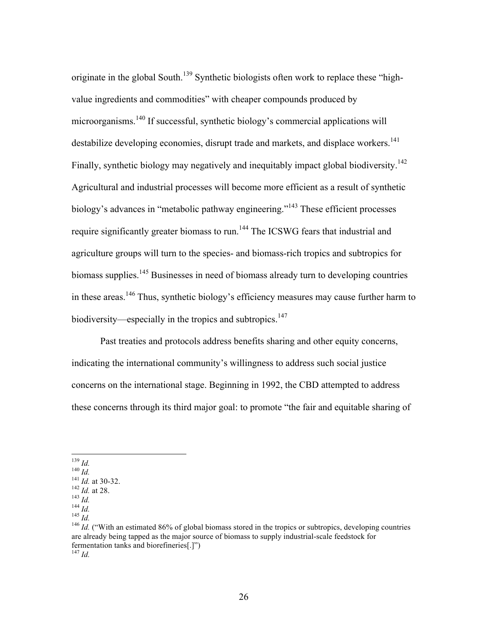originate in the global South.<sup>139</sup> Synthetic biologists often work to replace these "highvalue ingredients and commodities" with cheaper compounds produced by microorganisms.<sup>140</sup> If successful, synthetic biology's commercial applications will destabilize developing economies, disrupt trade and markets, and displace workers.<sup>141</sup> Finally, synthetic biology may negatively and inequitably impact global biodiversity.<sup>142</sup> Agricultural and industrial processes will become more efficient as a result of synthetic biology's advances in "metabolic pathway engineering."<sup>143</sup> These efficient processes require significantly greater biomass to run.<sup>144</sup> The ICSWG fears that industrial and agriculture groups will turn to the species- and biomass-rich tropics and subtropics for biomass supplies.<sup>145</sup> Businesses in need of biomass already turn to developing countries in these areas.<sup>146</sup> Thus, synthetic biology's efficiency measures may cause further harm to biodiversity—especially in the tropics and subtropics.<sup>147</sup>

Past treaties and protocols address benefits sharing and other equity concerns, indicating the international community's willingness to address such social justice concerns on the international stage. Beginning in 1992, the CBD attempted to address these concerns through its third major goal: to promote "the fair and equitable sharing of

<sup>&</sup>lt;sup>139</sup> *Id.*<br>
<sup>140</sup> *Id.*<br>
<sup>141</sup> *Id.* at 30-32.<br>
<sup>142</sup> *Id.* at 28.<br>
<sup>143</sup> *Id.*<br>
<sup>144</sup> *Id.*<br>
<sup>144</sup> *Id.*<br>
<sup>144</sup> *Id.*<br>
<sup>144</sup> *Id.*<br>
<sup>144</sup> *Id.*<br>
<sup>146</sup> *Id.* ("With an estimated 86% of global biomass stored in the tropic are already being tapped as the major source of biomass to supply industrial-scale feedstock for fermentation tanks and biorefineries[.]") <sup>147</sup> *Id.*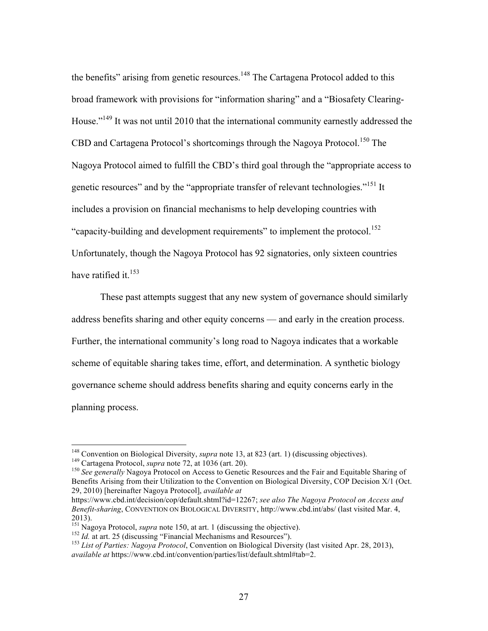the benefits" arising from genetic resources.<sup>148</sup> The Cartagena Protocol added to this broad framework with provisions for "information sharing" and a "Biosafety Clearing-House."<sup>149</sup> It was not until 2010 that the international community earnestly addressed the CBD and Cartagena Protocol's shortcomings through the Nagoya Protocol.<sup>150</sup> The Nagoya Protocol aimed to fulfill the CBD's third goal through the "appropriate access to genetic resources" and by the "appropriate transfer of relevant technologies."<sup>151</sup> It includes a provision on financial mechanisms to help developing countries with "capacity-building and development requirements" to implement the protocol.<sup>152</sup> Unfortunately, though the Nagoya Protocol has 92 signatories, only sixteen countries have ratified it. $153$ 

These past attempts suggest that any new system of governance should similarly address benefits sharing and other equity concerns — and early in the creation process. Further, the international community's long road to Nagoya indicates that a workable scheme of equitable sharing takes time, effort, and determination. A synthetic biology governance scheme should address benefits sharing and equity concerns early in the planning process.

<sup>&</sup>lt;sup>148</sup> Convention on Biological Diversity, *supra* note 13, at 823 (art. 1) (discussing objectives).<br><sup>149</sup> Cartagena Protocol, *supra* note 72, at 1036 (art. 20).<br><sup>150</sup> See generally Nagoya Protocol on Access to Genetic Re Benefits Arising from their Utilization to the Convention on Biological Diversity, COP Decision X/1 (Oct. 29, 2010) [hereinafter Nagoya Protocol], *available at*

https://www.cbd.int/decision/cop/default.shtml?id=12267; *see also The Nagoya Protocol on Access and Benefit-sharing*, CONVENTION ON BIOLOGICAL DIVERSITY, http://www.cbd.int/abs/ (last visited Mar. 4, 2013).<br><sup>151</sup> Nagoya Protocol, *supra* note 150, at art. 1 (discussing the objective).

<sup>&</sup>lt;sup>152</sup> *Id.* at art. 25 (discussing "Financial Mechanisms and Resources").<br><sup>153</sup> *List of Parties: Nagova Protocol*, Convention on Biological Diversity (last visited Apr. 28, 2013), *available at* https://www.cbd.int/convention/parties/list/default.shtml#tab=2.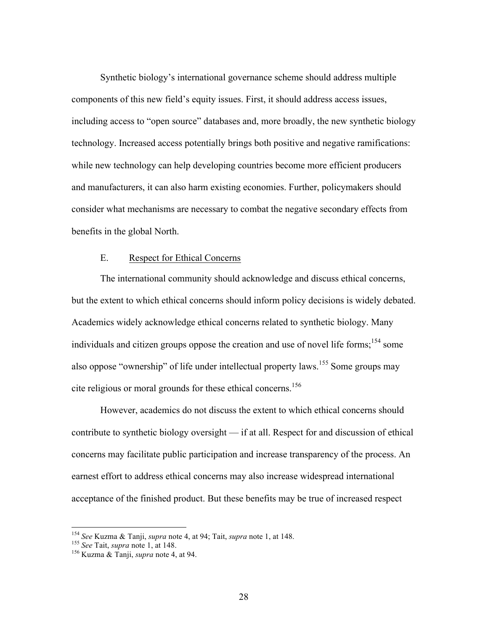Synthetic biology's international governance scheme should address multiple components of this new field's equity issues. First, it should address access issues, including access to "open source" databases and, more broadly, the new synthetic biology technology. Increased access potentially brings both positive and negative ramifications: while new technology can help developing countries become more efficient producers and manufacturers, it can also harm existing economies. Further, policymakers should consider what mechanisms are necessary to combat the negative secondary effects from benefits in the global North.

#### E. Respect for Ethical Concerns

The international community should acknowledge and discuss ethical concerns, but the extent to which ethical concerns should inform policy decisions is widely debated. Academics widely acknowledge ethical concerns related to synthetic biology. Many individuals and citizen groups oppose the creation and use of novel life forms;<sup>154</sup> some also oppose "ownership" of life under intellectual property laws.<sup>155</sup> Some groups may cite religious or moral grounds for these ethical concerns.<sup>156</sup>

However, academics do not discuss the extent to which ethical concerns should contribute to synthetic biology oversight — if at all. Respect for and discussion of ethical concerns may facilitate public participation and increase transparency of the process. An earnest effort to address ethical concerns may also increase widespread international acceptance of the finished product. But these benefits may be true of increased respect

 <sup>154</sup> *See* Kuzma & Tanji, *supra* note 4, at 94; Tait, *supra* note 1, at 148. 155 *See* Tait, *supra* note 1, at 148. <sup>156</sup> Kuzma & Tanji, *supra* note 4, at 94.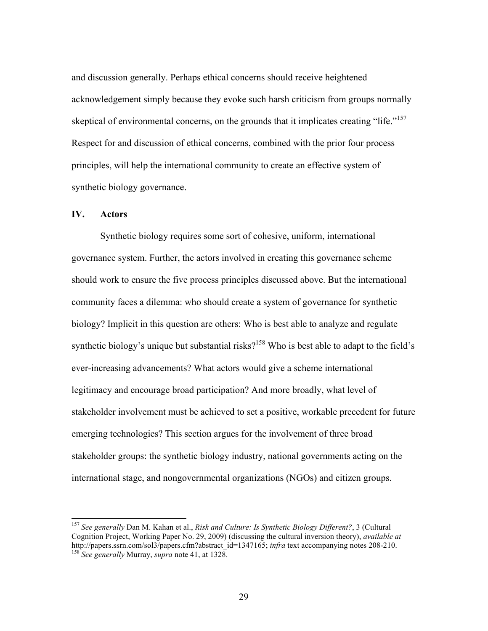and discussion generally. Perhaps ethical concerns should receive heightened acknowledgement simply because they evoke such harsh criticism from groups normally skeptical of environmental concerns, on the grounds that it implicates creating "life."<sup>157</sup> Respect for and discussion of ethical concerns, combined with the prior four process principles, will help the international community to create an effective system of synthetic biology governance.

#### **IV. Actors**

Synthetic biology requires some sort of cohesive, uniform, international governance system. Further, the actors involved in creating this governance scheme should work to ensure the five process principles discussed above. But the international community faces a dilemma: who should create a system of governance for synthetic biology? Implicit in this question are others: Who is best able to analyze and regulate synthetic biology's unique but substantial risks?<sup>158</sup> Who is best able to adapt to the field's ever-increasing advancements? What actors would give a scheme international legitimacy and encourage broad participation? And more broadly, what level of stakeholder involvement must be achieved to set a positive, workable precedent for future emerging technologies? This section argues for the involvement of three broad stakeholder groups: the synthetic biology industry, national governments acting on the international stage, and nongovernmental organizations (NGOs) and citizen groups.

 <sup>157</sup> *See generally* Dan M. Kahan et al., *Risk and Culture: Is Synthetic Biology Different?*, 3 (Cultural Cognition Project, Working Paper No. 29, 2009) (discussing the cultural inversion theory), *available at* http://papers.ssrn.com/sol3/papers.cfm?abstract\_id=1347165; *infra* text accompanying notes 208-210. 158 *See generally* Murray, *supra* note 41, at 1328.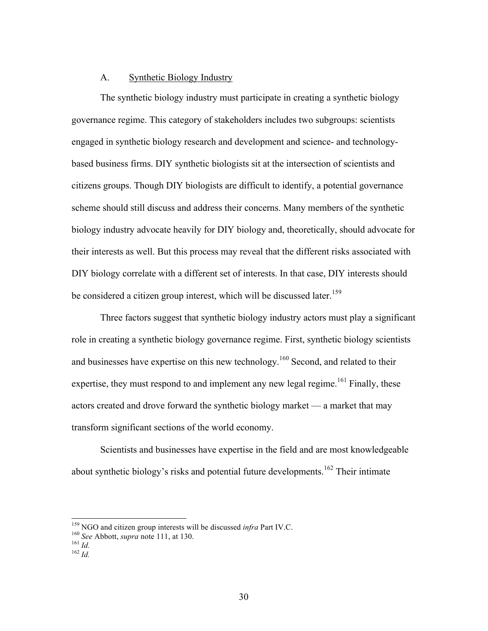#### A. Synthetic Biology Industry

The synthetic biology industry must participate in creating a synthetic biology governance regime. This category of stakeholders includes two subgroups: scientists engaged in synthetic biology research and development and science- and technologybased business firms. DIY synthetic biologists sit at the intersection of scientists and citizens groups. Though DIY biologists are difficult to identify, a potential governance scheme should still discuss and address their concerns. Many members of the synthetic biology industry advocate heavily for DIY biology and, theoretically, should advocate for their interests as well. But this process may reveal that the different risks associated with DIY biology correlate with a different set of interests. In that case, DIY interests should be considered a citizen group interest, which will be discussed later.<sup>159</sup>

Three factors suggest that synthetic biology industry actors must play a significant role in creating a synthetic biology governance regime. First, synthetic biology scientists and businesses have expertise on this new technology.<sup>160</sup> Second, and related to their expertise, they must respond to and implement any new legal regime.<sup>161</sup> Finally, these actors created and drove forward the synthetic biology market — a market that may transform significant sections of the world economy.

Scientists and businesses have expertise in the field and are most knowledgeable about synthetic biology's risks and potential future developments.<sup>162</sup> Their intimate

<sup>&</sup>lt;sup>159</sup> NGO and citizen group interests will be discussed *infra* Part IV.C. <sup>160</sup> *See* Abbott, *supra* note 111, at 130. <sup>161</sup> *Id.* <sup>162</sup> *Id*.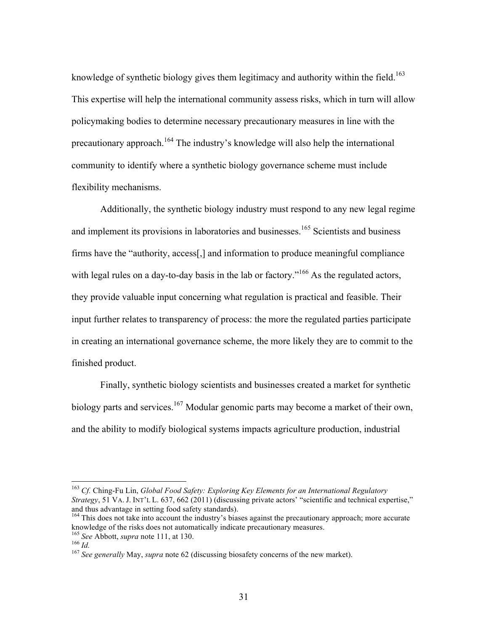knowledge of synthetic biology gives them legitimacy and authority within the field.<sup>163</sup> This expertise will help the international community assess risks, which in turn will allow policymaking bodies to determine necessary precautionary measures in line with the precautionary approach.164 The industry's knowledge will also help the international community to identify where a synthetic biology governance scheme must include flexibility mechanisms.

Additionally, the synthetic biology industry must respond to any new legal regime and implement its provisions in laboratories and businesses.<sup>165</sup> Scientists and business firms have the "authority, access[,] and information to produce meaningful compliance with legal rules on a day-to-day basis in the lab or factory."<sup>166</sup> As the regulated actors, they provide valuable input concerning what regulation is practical and feasible. Their input further relates to transparency of process: the more the regulated parties participate in creating an international governance scheme, the more likely they are to commit to the finished product.

Finally, synthetic biology scientists and businesses created a market for synthetic biology parts and services.<sup>167</sup> Modular genomic parts may become a market of their own, and the ability to modify biological systems impacts agriculture production, industrial

 <sup>163</sup> *Cf.* Ching-Fu Lin, *Global Food Safety: Exploring Key Elements for an International Regulatory Strategy*, 51 VA. J. INT'L L. 637, 662 (2011) (discussing private actors' "scientific and technical expertise," and thus advantage in setting food safety standards).

<sup>&</sup>lt;sup>164</sup> This does not take into account the industry's biases against the precautionary approach; more accurate knowledge of the risks does not automatically indicate precautionary measures.<br><sup>165</sup> See Abbott, *supra* note 111, at 130.<br><sup>166</sup> Id.<br><sup>167</sup> See generally May, *supra* note 62 (discussing biosafety concerns of the new market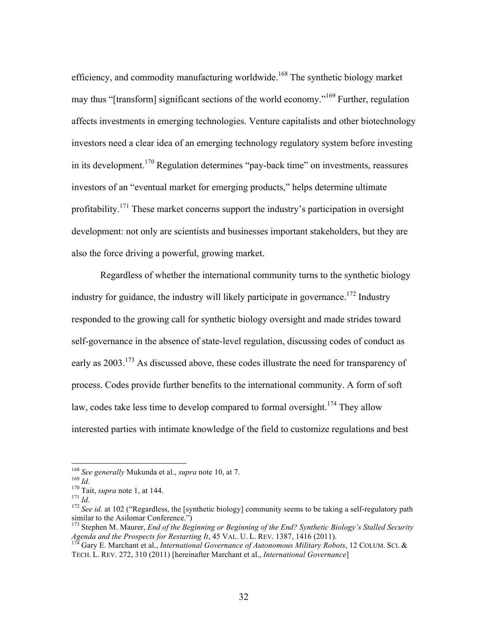efficiency, and commodity manufacturing worldwide.<sup>168</sup> The synthetic biology market may thus "[transform] significant sections of the world economy."<sup>169</sup> Further, regulation affects investments in emerging technologies. Venture capitalists and other biotechnology investors need a clear idea of an emerging technology regulatory system before investing in its development.<sup>170</sup> Regulation determines "pay-back time" on investments, reassures investors of an "eventual market for emerging products," helps determine ultimate profitability.<sup>171</sup> These market concerns support the industry's participation in oversight development: not only are scientists and businesses important stakeholders, but they are also the force driving a powerful, growing market.

Regardless of whether the international community turns to the synthetic biology industry for guidance, the industry will likely participate in governance.<sup>172</sup> Industry responded to the growing call for synthetic biology oversight and made strides toward self-governance in the absence of state-level regulation, discussing codes of conduct as early as 2003.<sup>173</sup> As discussed above, these codes illustrate the need for transparency of process. Codes provide further benefits to the international community. A form of soft law, codes take less time to develop compared to formal oversight.<sup>174</sup> They allow interested parties with intimate knowledge of the field to customize regulations and best

<sup>&</sup>lt;sup>168</sup> See generally Mukunda et al., *supra* note 10, at 7.<br>
<sup>169</sup> Id.<br>
<sup>170</sup> Tait, *supra* note 1, at 144.<br>
<sup>170</sup> Tait, *supra* note 1, at 144.<br>
<sup>171</sup> Id.<br>
<sup>172</sup> See id. at 102 ("Regardless, the [synthetic biology] commun similar to the Asilomar Conference.")

<sup>173</sup> Stephen M. Maurer, *End of the Beginning or Beginning of the End? Synthetic Biology's Stalled Security Agenda and the Prospects for Restarting It*, 45 VAL. U. L. REV. 1387, 1416 (2011). 174 Gary E. Marchant et al., *International Governance of Autonomous Military Robots*, 12 COLUM. SCI. &

TECH. L. REV. 272, 310 (2011) [hereinafter Marchant et al., *International Governance*]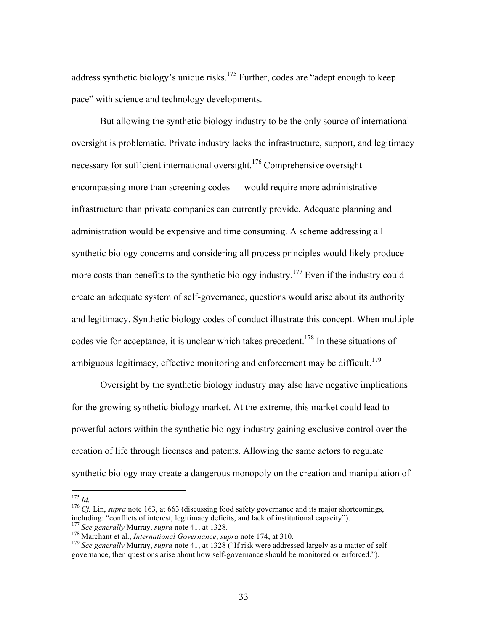address synthetic biology's unique risks.<sup>175</sup> Further, codes are "adept enough to keep pace" with science and technology developments.

But allowing the synthetic biology industry to be the only source of international oversight is problematic. Private industry lacks the infrastructure, support, and legitimacy necessary for sufficient international oversight.<sup>176</sup> Comprehensive oversight encompassing more than screening codes — would require more administrative infrastructure than private companies can currently provide. Adequate planning and administration would be expensive and time consuming. A scheme addressing all synthetic biology concerns and considering all process principles would likely produce more costs than benefits to the synthetic biology industry.<sup>177</sup> Even if the industry could create an adequate system of self-governance, questions would arise about its authority and legitimacy. Synthetic biology codes of conduct illustrate this concept. When multiple codes vie for acceptance, it is unclear which takes precedent.<sup>178</sup> In these situations of ambiguous legitimacy, effective monitoring and enforcement may be difficult.<sup>179</sup>

Oversight by the synthetic biology industry may also have negative implications for the growing synthetic biology market. At the extreme, this market could lead to powerful actors within the synthetic biology industry gaining exclusive control over the creation of life through licenses and patents. Allowing the same actors to regulate synthetic biology may create a dangerous monopoly on the creation and manipulation of

<sup>&</sup>lt;sup>175</sup> *Id.* 175 *Id.* 176 *Cf.* Lin, *supra* note 163, at 663 (discussing food safety governance and its major shortcomings, including: "conflicts of interest, legitimacy deficits, and lack of institutional capacity").<br>
<sup>177</sup> See generally Murray, *supra* note 41, at 1328.<br>
<sup>178</sup> Marchant et al., *International Governance*, *supra* note 174, at

governance, then questions arise about how self-governance should be monitored or enforced.").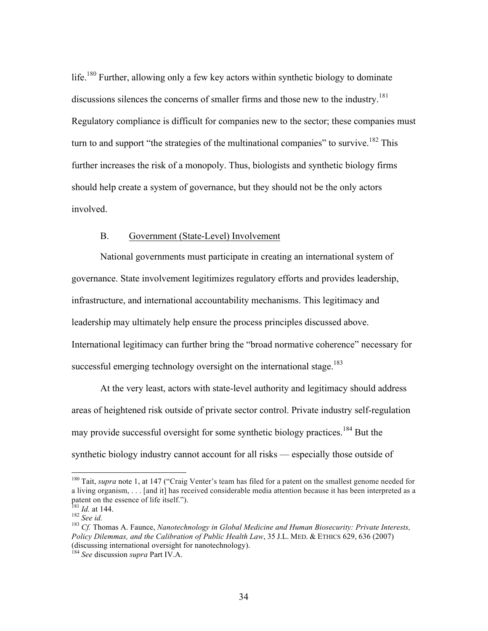life.<sup>180</sup> Further, allowing only a few key actors within synthetic biology to dominate discussions silences the concerns of smaller firms and those new to the industry.<sup>181</sup> Regulatory compliance is difficult for companies new to the sector; these companies must turn to and support "the strategies of the multinational companies" to survive.<sup>182</sup> This further increases the risk of a monopoly. Thus, biologists and synthetic biology firms should help create a system of governance, but they should not be the only actors involved.

#### B. Government (State-Level) Involvement

National governments must participate in creating an international system of governance. State involvement legitimizes regulatory efforts and provides leadership, infrastructure, and international accountability mechanisms. This legitimacy and leadership may ultimately help ensure the process principles discussed above. International legitimacy can further bring the "broad normative coherence" necessary for successful emerging technology oversight on the international stage.<sup>183</sup>

At the very least, actors with state-level authority and legitimacy should address areas of heightened risk outside of private sector control. Private industry self-regulation may provide successful oversight for some synthetic biology practices.<sup>184</sup> But the synthetic biology industry cannot account for all risks — especially those outside of

<sup>&</sup>lt;sup>180</sup> Tait, *supra* note 1, at 147 ("Craig Venter's team has filed for a patent on the smallest genome needed for a living organism, . . . [and it] has received considerable media attention because it has been interpreted as a patent on the essence of life itself.").<br><sup>181</sup> *Id.* at 144.

<sup>182</sup> *See id.*<br><sup>182</sup> *See id.* 184. Faunce, *Nanotechnology in Global Medicine and Human Biosecurity: Private Interests,* <sup>183</sup> *Cf.* Thomas A. Faunce, *Nanotechnology in Global Medicine and Human Biosecurity: Private Inter Policy Dilemmas, and the Calibration of Public Health Law*, 35 J.L. MED. & ETHICS 629, 636 (2007) (discussing international oversight for nanotechnology).

<sup>184</sup> *See* discussion *supra* Part IV.A.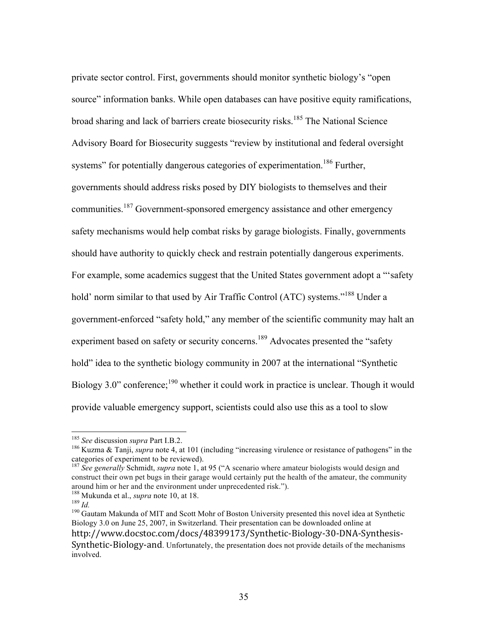private sector control. First, governments should monitor synthetic biology's "open source" information banks. While open databases can have positive equity ramifications, broad sharing and lack of barriers create biosecurity risks.<sup>185</sup> The National Science Advisory Board for Biosecurity suggests "review by institutional and federal oversight systems" for potentially dangerous categories of experimentation.<sup>186</sup> Further, governments should address risks posed by DIY biologists to themselves and their communities.<sup>187</sup> Government-sponsored emergency assistance and other emergency safety mechanisms would help combat risks by garage biologists. Finally, governments should have authority to quickly check and restrain potentially dangerous experiments. For example, some academics suggest that the United States government adopt a "'safety hold' norm similar to that used by Air Traffic Control (ATC) systems."<sup>188</sup> Under a government-enforced "safety hold," any member of the scientific community may halt an experiment based on safety or security concerns.<sup>189</sup> Advocates presented the "safety" hold" idea to the synthetic biology community in 2007 at the international "Synthetic Biology 3.0" conference;<sup>190</sup> whether it could work in practice is unclear. Though it would provide valuable emergency support, scientists could also use this as a tool to slow

<sup>&</sup>lt;sup>185</sup> *See* discussion *supra* Part I.B.2.<br><sup>186</sup> Kuzma & Tanji, *supra* note 4, at 101 (including "increasing virulence or resistance of pathogens" in the categories of experiment to be reviewed).

<sup>187</sup> *See generally* Schmidt, *supra* note 1, at 95 ("A scenario where amateur biologists would design and construct their own pet bugs in their garage would certainly put the health of the amateur, the community around him or her and the environment under unprecedented risk.").

<sup>&</sup>lt;sup>188</sup> Mukunda et al., *supra* note 10, at 18.<br><sup>189</sup> *Id.*<br><sup>190</sup> Gautam Makunda of MIT and Scott Mohr of Boston University presented this novel idea at Synthetic Biology 3.0 on June 25, 2007, in Switzerland. Their presentation can be downloaded online at http://www.docstoc.com/docs/48399173/Synthetic-Biology-30-DNA-Synthesis-Synthetic-Biology-and. Unfortunately, the presentation does not provide details of the mechanisms involved.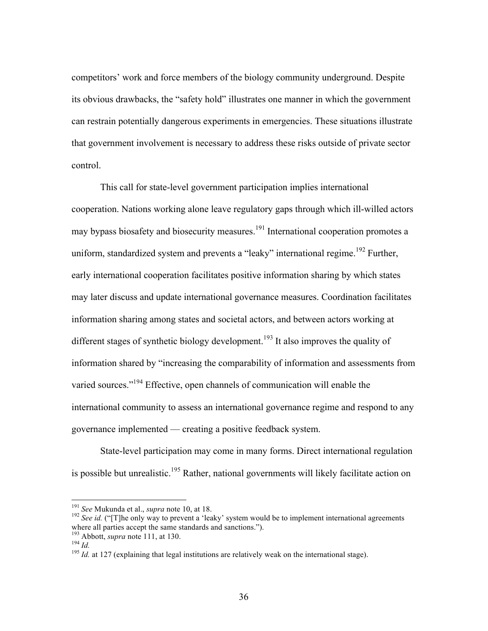competitors' work and force members of the biology community underground. Despite its obvious drawbacks, the "safety hold" illustrates one manner in which the government can restrain potentially dangerous experiments in emergencies. These situations illustrate that government involvement is necessary to address these risks outside of private sector control.

This call for state-level government participation implies international cooperation. Nations working alone leave regulatory gaps through which ill-willed actors may bypass biosafety and biosecurity measures.<sup>191</sup> International cooperation promotes a uniform, standardized system and prevents a "leaky" international regime.<sup>192</sup> Further, early international cooperation facilitates positive information sharing by which states may later discuss and update international governance measures. Coordination facilitates information sharing among states and societal actors, and between actors working at different stages of synthetic biology development.<sup>193</sup> It also improves the quality of information shared by "increasing the comparability of information and assessments from varied sources."194 Effective, open channels of communication will enable the international community to assess an international governance regime and respond to any governance implemented — creating a positive feedback system.

State-level participation may come in many forms. Direct international regulation is possible but unrealistic.<sup>195</sup> Rather, national governments will likely facilitate action on

<sup>&</sup>lt;sup>191</sup> *See* Mukunda et al., *supra* note 10, at 18.<br><sup>192</sup> *See id.* ("[T]he only way to prevent a 'leaky' system would be to implement international agreements where all parties accept the same standards and sanctions.").<br><sup>193</sup> Abbott, *supra* note 111, at 130.

<sup>194</sup> *Id.*<br><sup>194</sup> *Id.* at 127 (explaining that legal institutions are relatively weak on the international stage).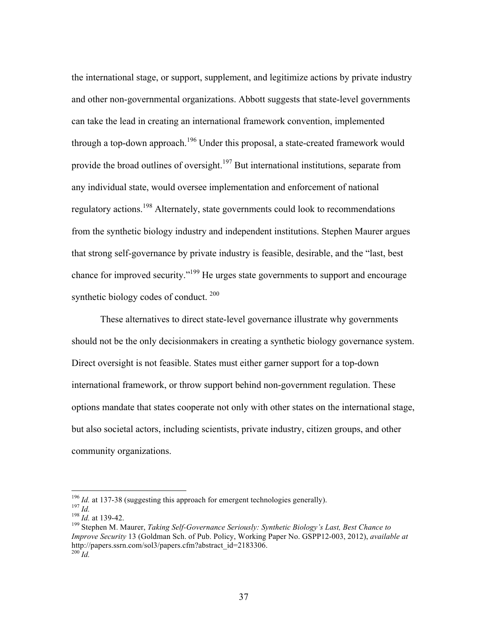the international stage, or support, supplement, and legitimize actions by private industry and other non-governmental organizations. Abbott suggests that state-level governments can take the lead in creating an international framework convention, implemented through a top-down approach.<sup>196</sup> Under this proposal, a state-created framework would provide the broad outlines of oversight.<sup>197</sup> But international institutions, separate from any individual state, would oversee implementation and enforcement of national regulatory actions.<sup>198</sup> Alternately, state governments could look to recommendations from the synthetic biology industry and independent institutions. Stephen Maurer argues that strong self-governance by private industry is feasible, desirable, and the "last, best chance for improved security."199 He urges state governments to support and encourage synthetic biology codes of conduct.<sup>200</sup>

These alternatives to direct state-level governance illustrate why governments should not be the only decisionmakers in creating a synthetic biology governance system. Direct oversight is not feasible. States must either garner support for a top-down international framework, or throw support behind non-government regulation. These options mandate that states cooperate not only with other states on the international stage, but also societal actors, including scientists, private industry, citizen groups, and other community organizations.

<sup>&</sup>lt;sup>196</sup> *Id.* at 137-38 (suggesting this approach for emergent technologies generally).<br><sup>197</sup> *Id.* at 139-42.<br><sup>198</sup> Stephen M. Maurer, *Taking Self-Governance Seriously: Synthetic Biology's Last, Best Chance to Improve Security* 13 (Goldman Sch. of Pub. Policy, Working Paper No. GSPP12-003, 2012), *available at* http://papers.ssrn.com/sol3/papers.cfm?abstract\_id=2183306.  $^{200}$ *Id.*<sup>2</sup>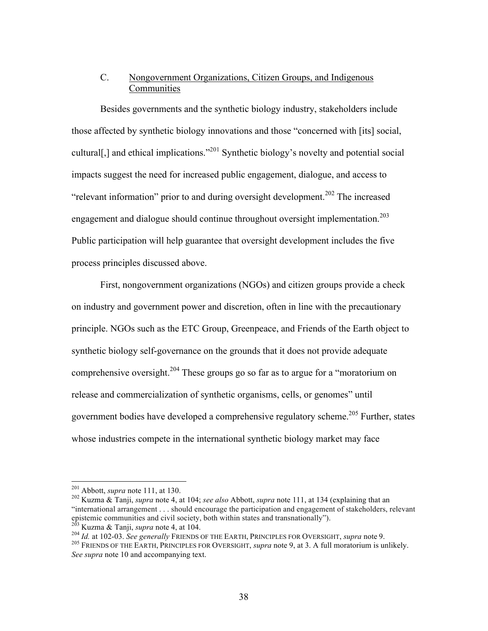# C. Nongovernment Organizations, Citizen Groups, and Indigenous **Communities**

Besides governments and the synthetic biology industry, stakeholders include those affected by synthetic biology innovations and those "concerned with [its] social, cultural[,] and ethical implications."<sup>201</sup> Synthetic biology's novelty and potential social impacts suggest the need for increased public engagement, dialogue, and access to "relevant information" prior to and during oversight development.<sup>202</sup> The increased engagement and dialogue should continue throughout oversight implementation.<sup>203</sup> Public participation will help guarantee that oversight development includes the five process principles discussed above.

First, nongovernment organizations (NGOs) and citizen groups provide a check on industry and government power and discretion, often in line with the precautionary principle. NGOs such as the ETC Group, Greenpeace, and Friends of the Earth object to synthetic biology self-governance on the grounds that it does not provide adequate comprehensive oversight.<sup>204</sup> These groups go so far as to argue for a "moratorium on release and commercialization of synthetic organisms, cells, or genomes" until government bodies have developed a comprehensive regulatory scheme.<sup>205</sup> Further, states whose industries compete in the international synthetic biology market may face

 <sup>201</sup> Abbott, *supra* note 111, at 130. 202 Kuzma & Tanji, *supra* note 4, at 104; *see also* Abbott, *supra* note 111, at 134 (explaining that an "international arrangement . . . should encourage the participation and engagement of stakeholders, relevant epistemic communities and civil society, both within states and transnationally").<br>
<sup>203</sup> Kuzma & Tanji, *supra* note 4, at 104.<br>
<sup>204</sup> Id. at 102-03. See generally FRIENDS OF THE EARTH, PRINCIPLES FOR OVERSIGHT, *supra* n

*See supra* note 10 and accompanying text.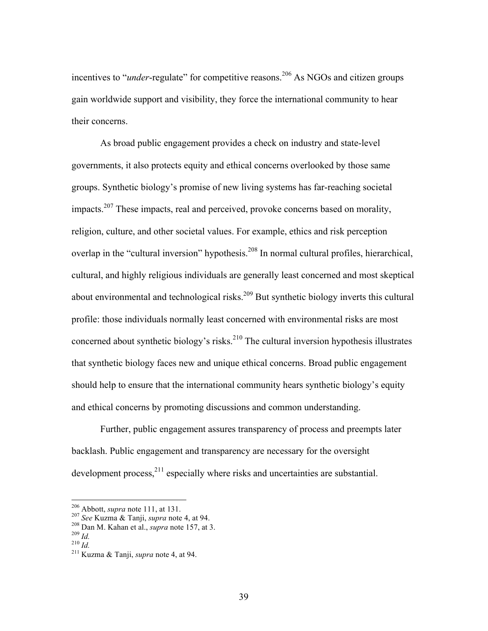incentives to "*under*-regulate" for competitive reasons.<sup>206</sup> As NGOs and citizen groups gain worldwide support and visibility, they force the international community to hear their concerns.

As broad public engagement provides a check on industry and state-level governments, it also protects equity and ethical concerns overlooked by those same groups. Synthetic biology's promise of new living systems has far-reaching societal impacts.<sup>207</sup> These impacts, real and perceived, provoke concerns based on morality, religion, culture, and other societal values. For example, ethics and risk perception overlap in the "cultural inversion" hypothesis.<sup>208</sup> In normal cultural profiles, hierarchical, cultural, and highly religious individuals are generally least concerned and most skeptical about environmental and technological risks.<sup>209</sup> But synthetic biology inverts this cultural profile: those individuals normally least concerned with environmental risks are most concerned about synthetic biology's risks. $^{210}$  The cultural inversion hypothesis illustrates that synthetic biology faces new and unique ethical concerns. Broad public engagement should help to ensure that the international community hears synthetic biology's equity and ethical concerns by promoting discussions and common understanding.

Further, public engagement assures transparency of process and preempts later backlash. Public engagement and transparency are necessary for the oversight development process,  $^{211}$  especially where risks and uncertainties are substantial.

<sup>&</sup>lt;sup>206</sup> Abbott, *supra* note 111, at 131.<br>
<sup>207</sup> See Kuzma & Tanji, *supra* note 4, at 94.<br>
<sup>208</sup> Dan M. Kahan et al., *supra* note 157, at 3.<br>
<sup>209</sup> Id.<br>
<sup>210</sup> Id.<br>
<sup>211</sup> Kuzma & Tanji, *supra* note 4, at 94.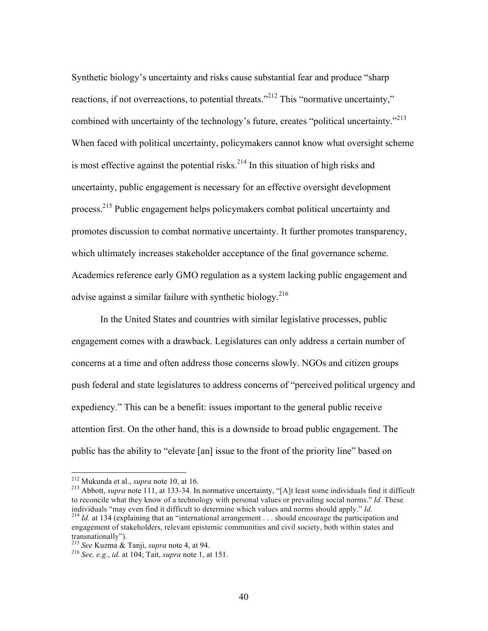Synthetic biology's uncertainty and risks cause substantial fear and produce "sharp reactions, if not overreactions, to potential threats.<sup> $2^{212}$ </sup> This "normative uncertainty," combined with uncertainty of the technology's future, creates "political uncertainty."<sup>213</sup> When faced with political uncertainty, policymakers cannot know what oversight scheme is most effective against the potential risks.<sup>214</sup> In this situation of high risks and uncertainty, public engagement is necessary for an effective oversight development process.215 Public engagement helps policymakers combat political uncertainty and promotes discussion to combat normative uncertainty. It further promotes transparency, which ultimately increases stakeholder acceptance of the final governance scheme. Academics reference early GMO regulation as a system lacking public engagement and advise against a similar failure with synthetic biology.<sup>216</sup>

In the United States and countries with similar legislative processes, public engagement comes with a drawback. Legislatures can only address a certain number of concerns at a time and often address those concerns slowly. NGOs and citizen groups push federal and state legislatures to address concerns of "perceived political urgency and expediency." This can be a benefit: issues important to the general public receive attention first. On the other hand, this is a downside to broad public engagement. The public has the ability to "elevate [an] issue to the front of the priority line" based on

<sup>&</sup>lt;sup>212</sup> Mukunda et al., *supra* note 10, at 16.<br><sup>213</sup> Abbott, *supra* note 111, at 133-34. In normative uncertainty, "[A]t least some individuals find it difficult to reconcile what they know of a technology with personal values or prevailing social norms." *Id*. These individuals "may even find it difficult to determine which values and norms should apply." *Id*.

 $\frac{214}{1d}$ . at 134 (explaining that an "international arrangement . . . should encourage the participation and engagement of stakeholders, relevant epistemic communities and civil society, both within states and transnationally").

<sup>215</sup> *See* Kuzma & Tanji, *supra* note 4, at 94. <sup>216</sup> *See, e.g.*, *id.* at 104; Tait, *supra* note 1, at 151.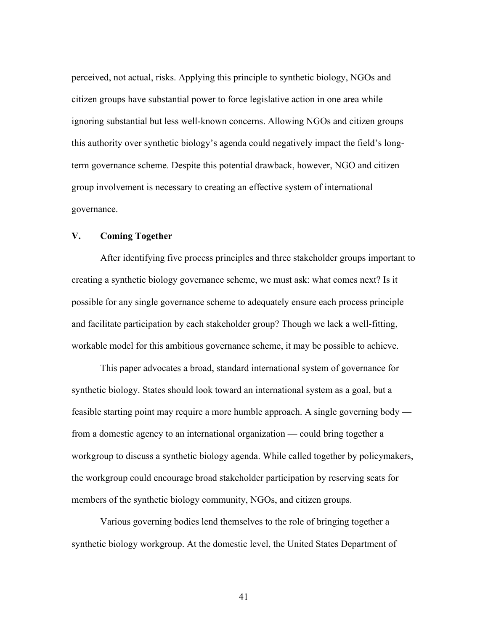perceived, not actual, risks. Applying this principle to synthetic biology, NGOs and citizen groups have substantial power to force legislative action in one area while ignoring substantial but less well-known concerns. Allowing NGOs and citizen groups this authority over synthetic biology's agenda could negatively impact the field's longterm governance scheme. Despite this potential drawback, however, NGO and citizen group involvement is necessary to creating an effective system of international governance.

#### **V. Coming Together**

After identifying five process principles and three stakeholder groups important to creating a synthetic biology governance scheme, we must ask: what comes next? Is it possible for any single governance scheme to adequately ensure each process principle and facilitate participation by each stakeholder group? Though we lack a well-fitting, workable model for this ambitious governance scheme, it may be possible to achieve.

This paper advocates a broad, standard international system of governance for synthetic biology. States should look toward an international system as a goal, but a feasible starting point may require a more humble approach. A single governing body from a domestic agency to an international organization — could bring together a workgroup to discuss a synthetic biology agenda. While called together by policymakers, the workgroup could encourage broad stakeholder participation by reserving seats for members of the synthetic biology community, NGOs, and citizen groups.

Various governing bodies lend themselves to the role of bringing together a synthetic biology workgroup. At the domestic level, the United States Department of

41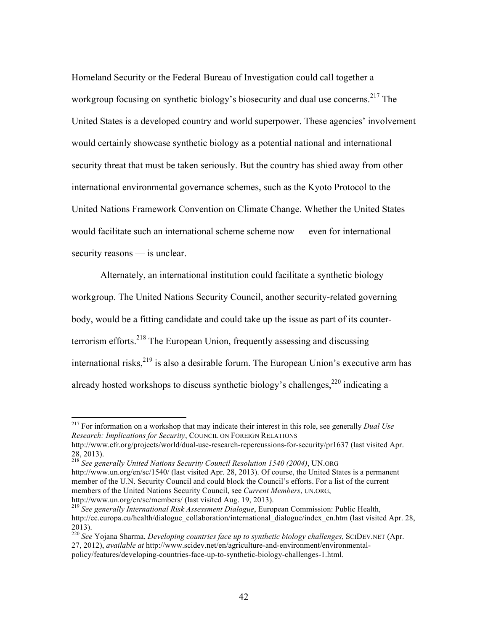Homeland Security or the Federal Bureau of Investigation could call together a workgroup focusing on synthetic biology's biosecurity and dual use concerns.<sup>217</sup> The United States is a developed country and world superpower. These agencies' involvement would certainly showcase synthetic biology as a potential national and international security threat that must be taken seriously. But the country has shied away from other international environmental governance schemes, such as the Kyoto Protocol to the United Nations Framework Convention on Climate Change. Whether the United States would facilitate such an international scheme scheme now — even for international security reasons — is unclear.

Alternately, an international institution could facilitate a synthetic biology workgroup. The United Nations Security Council, another security-related governing body, would be a fitting candidate and could take up the issue as part of its counterterrorism efforts.<sup>218</sup> The European Union, frequently assessing and discussing international risks,  $2^{19}$  is also a desirable forum. The European Union's executive arm has already hosted workshops to discuss synthetic biology's challenges,  $220$  indicating a

<sup>220</sup> *See* Yojana Sharma, *Developing countries face up to synthetic biology challenges*, SCIDEV.NET (Apr. 27, 2012), *available at* http://www.scidev.net/en/agriculture-and-environment/environmental-

policy/features/developing-countries-face-up-to-synthetic-biology-challenges-1.html.

 <sup>217</sup> For information on a workshop that may indicate their interest in this role, see generally *Dual Use Research: Implications for Security*, COUNCIL ON FOREIGN RELATIONS

http://www.cfr.org/projects/world/dual-use-research-repercussions-for-security/pr1637 (last visited Apr. 28, 2013).

<sup>218</sup> *See generally United Nations Security Council Resolution 1540 (2004)*, UN.ORG http://www.un.org/en/sc/1540/ (last visited Apr. 28, 2013). Of course, the United States is a permanent member of the U.N. Security Council and could block the Council's efforts. For a list of the current members of the United Nations Security Council, see *Current Members*, UN.ORG,

http://www.un.org/en/sc/members/ (last visited Aug. 19, 2013). 219 *See generally International Risk Assessment Dialogue*, European Commission: Public Health, http://ec.europa.eu/health/dialogue\_collaboration/international\_dialogue/index\_en.htm (last visited Apr. 28, 2013).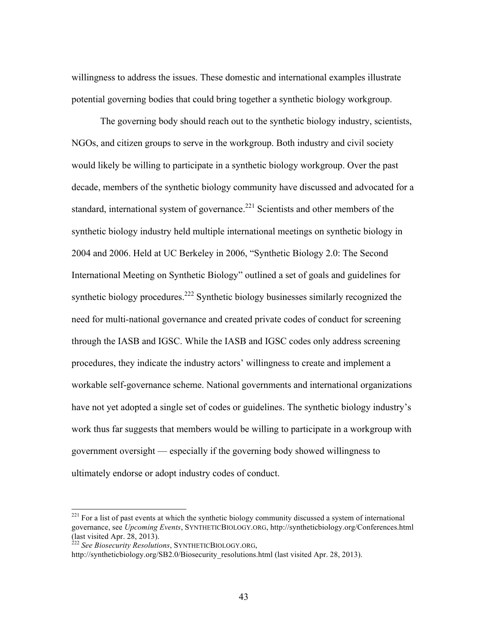willingness to address the issues. These domestic and international examples illustrate potential governing bodies that could bring together a synthetic biology workgroup.

The governing body should reach out to the synthetic biology industry, scientists, NGOs, and citizen groups to serve in the workgroup. Both industry and civil society would likely be willing to participate in a synthetic biology workgroup. Over the past decade, members of the synthetic biology community have discussed and advocated for a standard, international system of governance.<sup>221</sup> Scientists and other members of the synthetic biology industry held multiple international meetings on synthetic biology in 2004 and 2006. Held at UC Berkeley in 2006, "Synthetic Biology 2.0: The Second International Meeting on Synthetic Biology" outlined a set of goals and guidelines for synthetic biology procedures.<sup>222</sup> Synthetic biology businesses similarly recognized the need for multi-national governance and created private codes of conduct for screening through the IASB and IGSC. While the IASB and IGSC codes only address screening procedures, they indicate the industry actors' willingness to create and implement a workable self-governance scheme. National governments and international organizations have not yet adopted a single set of codes or guidelines. The synthetic biology industry's work thus far suggests that members would be willing to participate in a workgroup with government oversight — especially if the governing body showed willingness to ultimately endorse or adopt industry codes of conduct.

<sup>&</sup>lt;sup>221</sup> For a list of past events at which the synthetic biology community discussed a system of international governance, see *Upcoming Events*, SYNTHETICBIOLOGY.ORG, http://syntheticbiology.org/Conferences.html (last visited Apr. 28, 2013).

<sup>222</sup> *See Biosecurity Resolutions*, SYNTHETICBIOLOGY.ORG,

http://syntheticbiology.org/SB2.0/Biosecurity\_resolutions.html (last visited Apr. 28, 2013).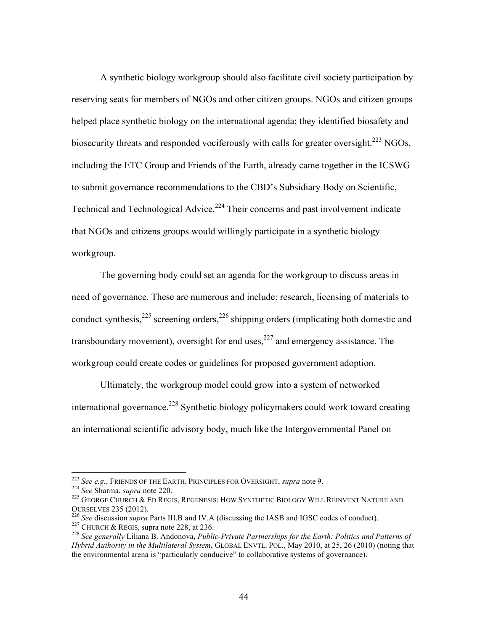A synthetic biology workgroup should also facilitate civil society participation by reserving seats for members of NGOs and other citizen groups. NGOs and citizen groups helped place synthetic biology on the international agenda; they identified biosafety and biosecurity threats and responded vociferously with calls for greater oversight.<sup>223</sup> NGOs, including the ETC Group and Friends of the Earth, already came together in the ICSWG to submit governance recommendations to the CBD's Subsidiary Body on Scientific, Technical and Technological Advice.<sup>224</sup> Their concerns and past involvement indicate that NGOs and citizens groups would willingly participate in a synthetic biology workgroup.

The governing body could set an agenda for the workgroup to discuss areas in need of governance. These are numerous and include: research, licensing of materials to conduct synthesis, $225$  screening orders,  $226$  shipping orders (implicating both domestic and transboundary movement), oversight for end uses, $227$  and emergency assistance. The workgroup could create codes or guidelines for proposed government adoption.

Ultimately, the workgroup model could grow into a system of networked international governance.<sup>228</sup> Synthetic biology policymakers could work toward creating an international scientific advisory body, much like the Intergovernmental Panel on

<sup>&</sup>lt;sup>223</sup> See e.g., Friends of the Earth, Principles for Oversight, *supra* note 9.<br><sup>224</sup> See Sharma, *supra* note 220.<br><sup>225</sup> GEORGE CHURCH & ED REGIS, REGENESIS: HOW SYNTHETIC BIOLOGY WILL REINVENT NATURE AND

OURSELVES 235 (2012).<br><sup>226</sup> See discussion *supra* Parts III.B and IV.A (discussing the IASB and IGSC codes of conduct).<br><sup>227</sup> CHURCH & REGIS, supra note 228, at 236.<br><sup>228</sup> See generally Liliana B. Andonova, *Public-Privat* 

*Hybrid Authority in the Multilateral System*, GLOBAL ENVTL. POL., May 2010, at 25, 26 (2010) (noting that the environmental arena is "particularly conducive" to collaborative systems of governance).